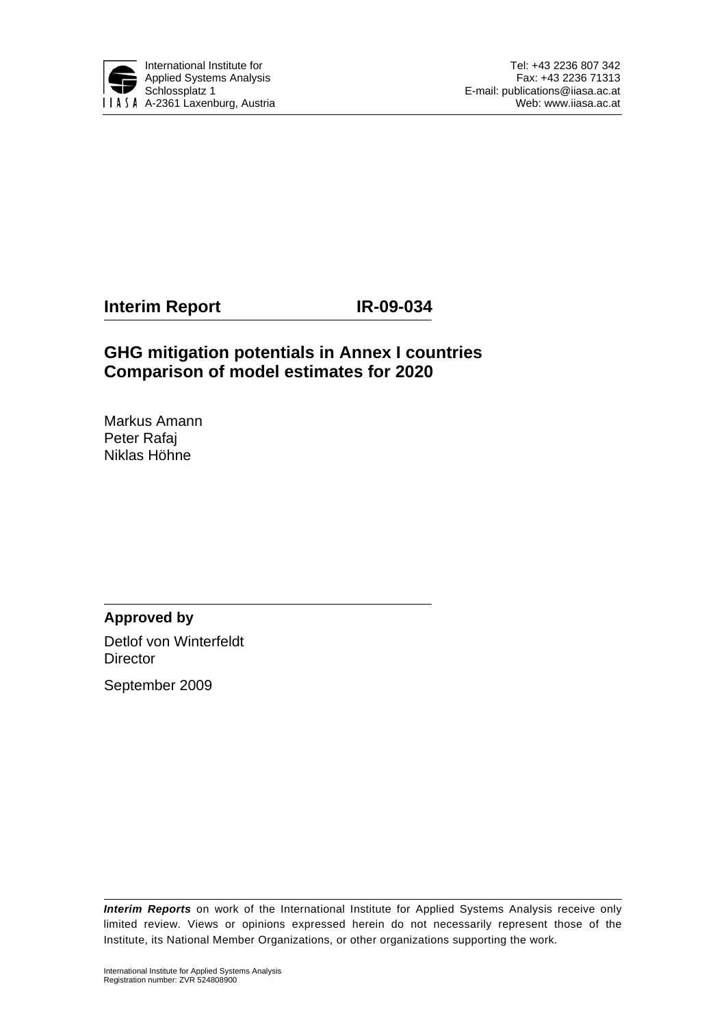

**Interim Report IR-09-034** 

# **GHG mitigation potentials in Annex I countries Comparison of model estimates for 2020**

Markus Amann Peter Rafaj Niklas Höhne

**Approved by**  Detlof von Winterfeldt **Director** 

September 2009

*Interim Reports* on work of the International Institute for Applied Systems Analysis receive only limited review. Views or opinions expressed herein do not necessarily represent those of the Institute, its National Member Organizations, or other organizations supporting the work.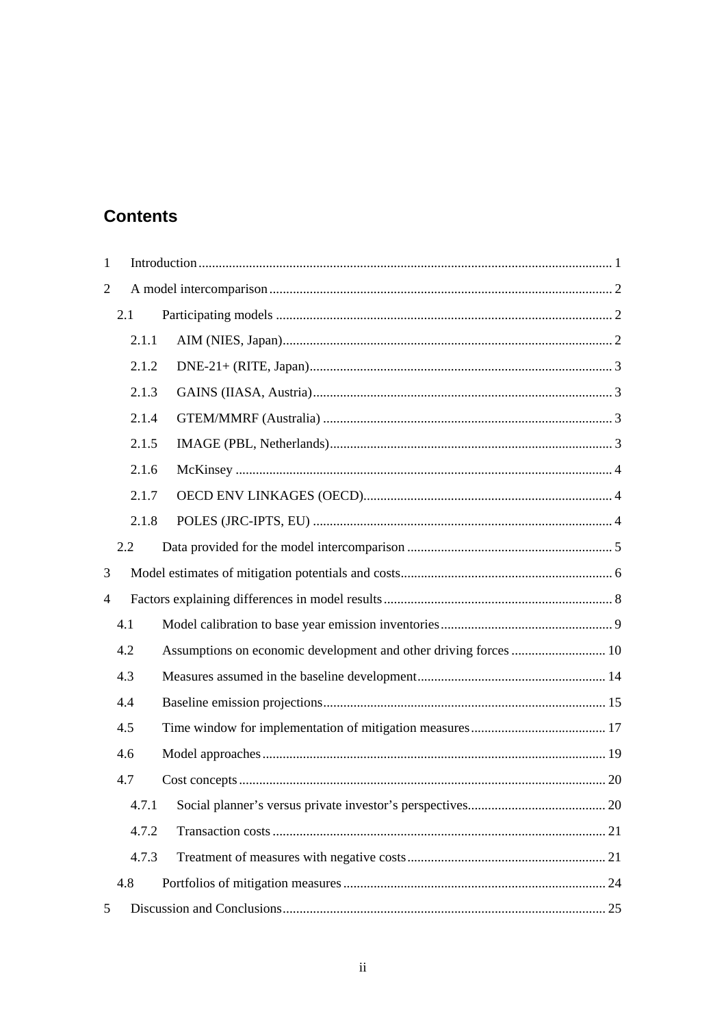# **Contents**

| $\mathbf{1}$   |     |       |                                                                  |  |  |  |  |
|----------------|-----|-------|------------------------------------------------------------------|--|--|--|--|
| $\overline{2}$ |     |       |                                                                  |  |  |  |  |
|                | 2.1 |       |                                                                  |  |  |  |  |
|                |     | 2.1.1 |                                                                  |  |  |  |  |
|                |     | 2.1.2 |                                                                  |  |  |  |  |
|                |     | 2.1.3 |                                                                  |  |  |  |  |
|                |     | 2.1.4 |                                                                  |  |  |  |  |
|                |     | 2.1.5 |                                                                  |  |  |  |  |
|                |     | 2.1.6 |                                                                  |  |  |  |  |
|                |     | 2.1.7 |                                                                  |  |  |  |  |
|                |     | 2.1.8 |                                                                  |  |  |  |  |
|                | 2.2 |       |                                                                  |  |  |  |  |
| 3              |     |       |                                                                  |  |  |  |  |
| $\overline{4}$ |     |       |                                                                  |  |  |  |  |
|                | 4.1 |       |                                                                  |  |  |  |  |
|                | 4.2 |       | Assumptions on economic development and other driving forces  10 |  |  |  |  |
|                | 4.3 |       |                                                                  |  |  |  |  |
|                | 4.4 |       |                                                                  |  |  |  |  |
| 4.5            |     |       |                                                                  |  |  |  |  |
|                | 4.6 |       |                                                                  |  |  |  |  |
|                | 4.7 |       |                                                                  |  |  |  |  |
|                |     | 4.7.1 |                                                                  |  |  |  |  |
|                |     | 4.7.2 |                                                                  |  |  |  |  |
|                |     | 4.7.3 |                                                                  |  |  |  |  |
|                | 4.8 |       |                                                                  |  |  |  |  |
| 5              |     |       |                                                                  |  |  |  |  |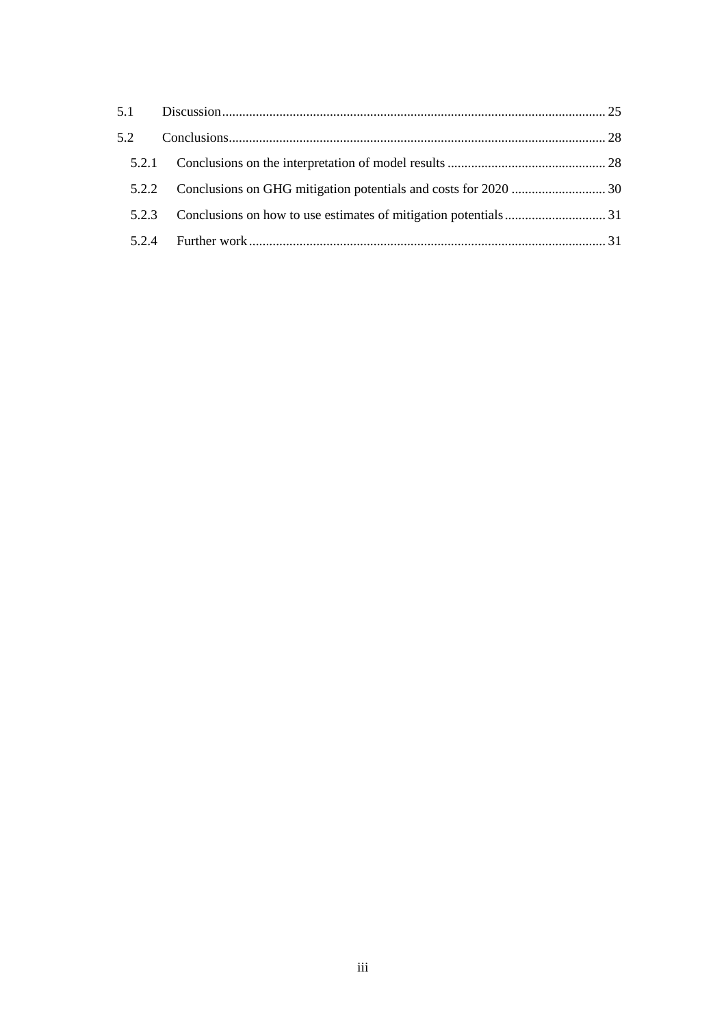| 5.2   |  |
|-------|--|
| 5.2.1 |  |
|       |  |
| 5.2.3 |  |
| 5.2.4 |  |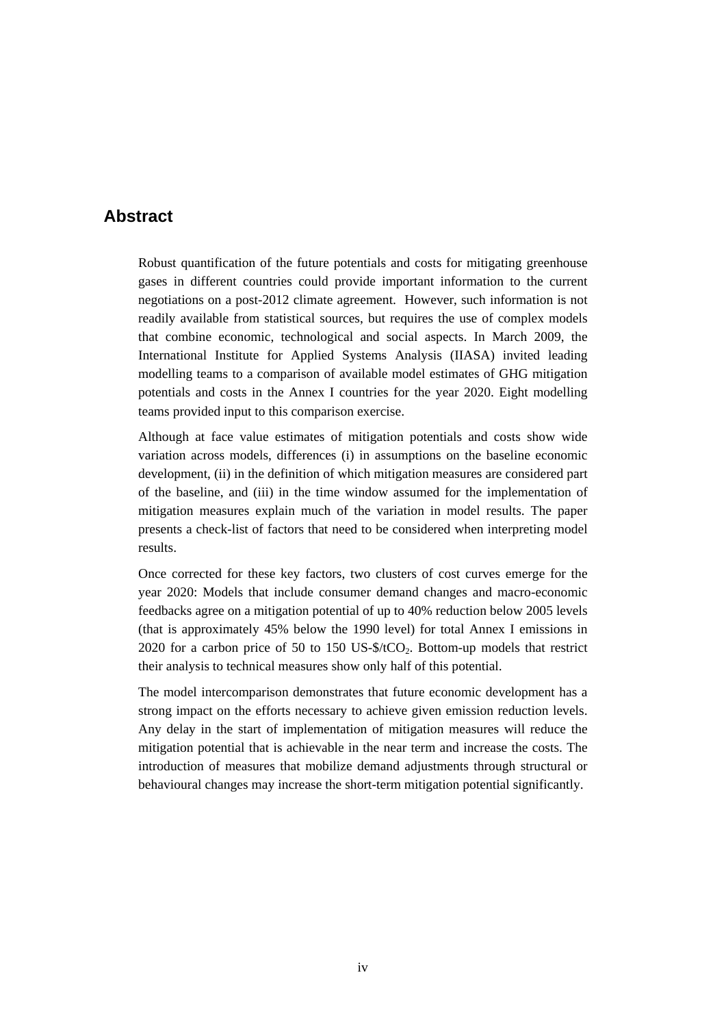## **Abstract**

Robust quantification of the future potentials and costs for mitigating greenhouse gases in different countries could provide important information to the current negotiations on a post-2012 climate agreement. However, such information is not readily available from statistical sources, but requires the use of complex models that combine economic, technological and social aspects. In March 2009, the International Institute for Applied Systems Analysis (IIASA) invited leading modelling teams to a comparison of available model estimates of GHG mitigation potentials and costs in the Annex I countries for the year 2020. Eight modelling teams provided input to this comparison exercise.

Although at face value estimates of mitigation potentials and costs show wide variation across models, differences (i) in assumptions on the baseline economic development, (ii) in the definition of which mitigation measures are considered part of the baseline, and (iii) in the time window assumed for the implementation of mitigation measures explain much of the variation in model results. The paper presents a check-list of factors that need to be considered when interpreting model results.

Once corrected for these key factors, two clusters of cost curves emerge for the year 2020: Models that include consumer demand changes and macro-economic feedbacks agree on a mitigation potential of up to 40% reduction below 2005 levels (that is approximately 45% below the 1990 level) for total Annex I emissions in 2020 for a carbon price of 50 to 150 US- $\frac{150 \text{ US-}150 \text{ US-}150 \text{ CO}}{2020 \text{ few}}$ . Bottom-up models that restrict their analysis to technical measures show only half of this potential.

The model intercomparison demonstrates that future economic development has a strong impact on the efforts necessary to achieve given emission reduction levels. Any delay in the start of implementation of mitigation measures will reduce the mitigation potential that is achievable in the near term and increase the costs. The introduction of measures that mobilize demand adjustments through structural or behavioural changes may increase the short-term mitigation potential significantly.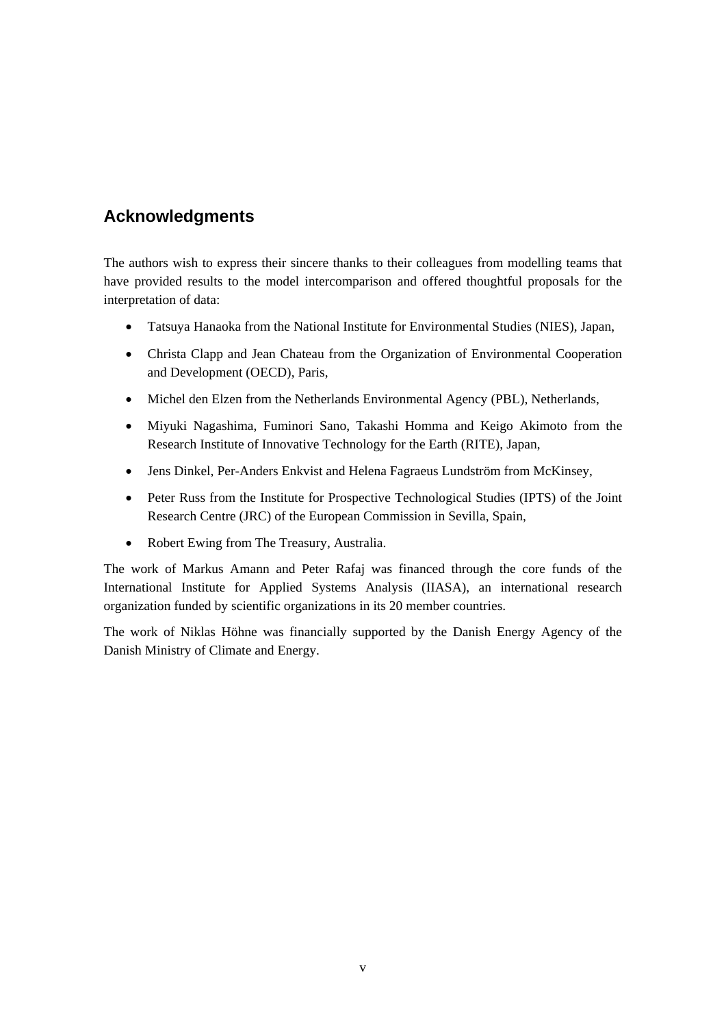# **Acknowledgments**

The authors wish to express their sincere thanks to their colleagues from modelling teams that have provided results to the model intercomparison and offered thoughtful proposals for the interpretation of data:

- Tatsuya Hanaoka from the National Institute for Environmental Studies (NIES), Japan,
- Christa Clapp and Jean Chateau from the Organization of Environmental Cooperation and Development (OECD), Paris,
- Michel den Elzen from the Netherlands Environmental Agency (PBL), Netherlands,
- Miyuki Nagashima, Fuminori Sano, Takashi Homma and Keigo Akimoto from the Research Institute of Innovative Technology for the Earth (RITE), Japan,
- Jens Dinkel, Per-Anders Enkvist and Helena Fagraeus Lundström from McKinsey,
- Peter Russ from the Institute for Prospective Technological Studies (IPTS) of the Joint Research Centre (JRC) of the European Commission in Sevilla, Spain,
- Robert Ewing from The Treasury, Australia.

The work of Markus Amann and Peter Rafaj was financed through the core funds of the International Institute for Applied Systems Analysis (IIASA), an international research organization funded by scientific organizations in its 20 member countries.

The work of Niklas Höhne was financially supported by the Danish Energy Agency of the Danish Ministry of Climate and Energy.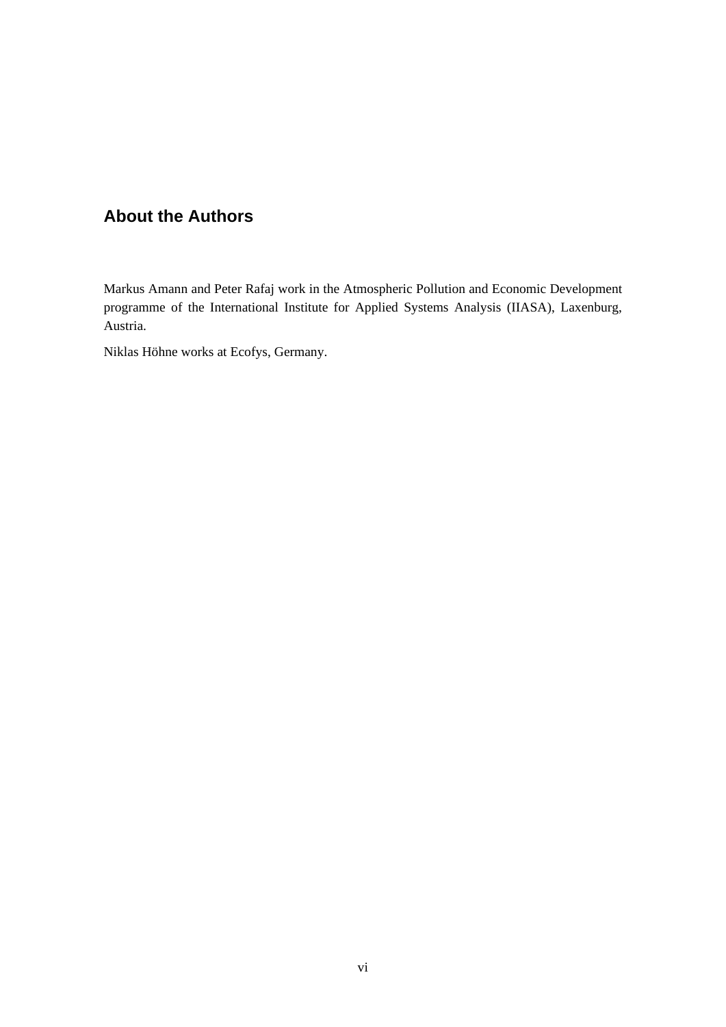# **About the Authors**

Markus Amann and Peter Rafaj work in the Atmospheric Pollution and Economic Development programme of the International Institute for Applied Systems Analysis (IIASA), Laxenburg, Austria.

Niklas Höhne works at Ecofys, Germany.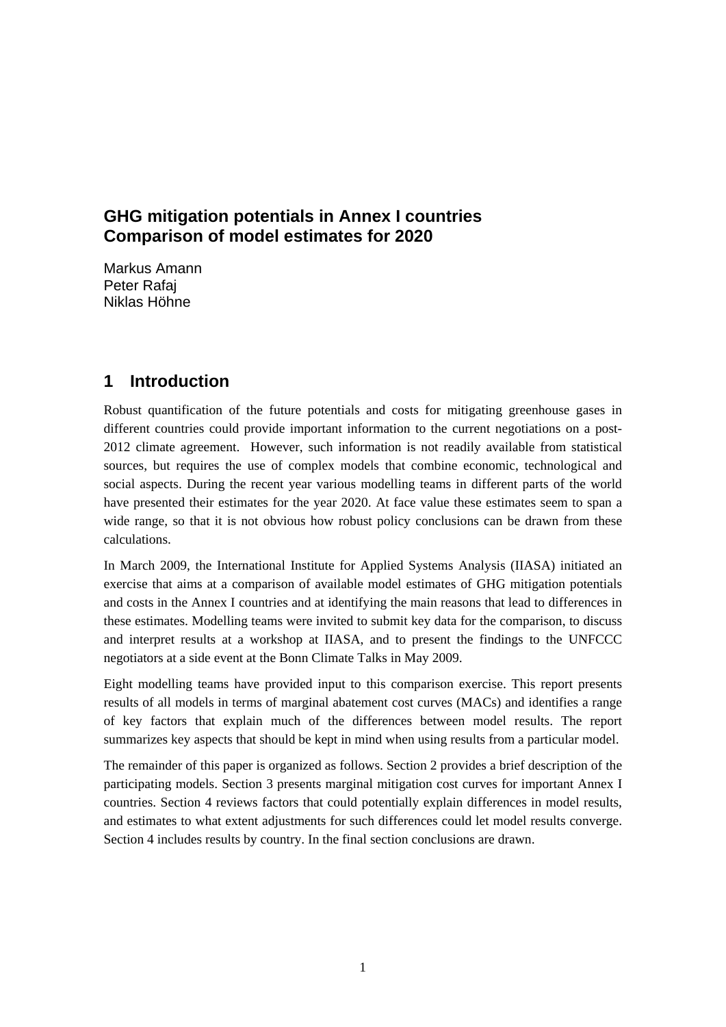# **GHG mitigation potentials in Annex I countries Comparison of model estimates for 2020**

Markus Amann Peter Rafaj Niklas Höhne

# **1 Introduction**

Robust quantification of the future potentials and costs for mitigating greenhouse gases in different countries could provide important information to the current negotiations on a post-2012 climate agreement. However, such information is not readily available from statistical sources, but requires the use of complex models that combine economic, technological and social aspects. During the recent year various modelling teams in different parts of the world have presented their estimates for the year 2020. At face value these estimates seem to span a wide range, so that it is not obvious how robust policy conclusions can be drawn from these calculations.

In March 2009, the International Institute for Applied Systems Analysis (IIASA) initiated an exercise that aims at a comparison of available model estimates of GHG mitigation potentials and costs in the Annex I countries and at identifying the main reasons that lead to differences in these estimates. Modelling teams were invited to submit key data for the comparison, to discuss and interpret results at a workshop at IIASA, and to present the findings to the UNFCCC negotiators at a side event at the Bonn Climate Talks in May 2009.

Eight modelling teams have provided input to this comparison exercise. This report presents results of all models in terms of marginal abatement cost curves (MACs) and identifies a range of key factors that explain much of the differences between model results. The report summarizes key aspects that should be kept in mind when using results from a particular model.

The remainder of this paper is organized as follows. Section 2 provides a brief description of the participating models. Section 3 presents marginal mitigation cost curves for important Annex I countries. Section 4 reviews factors that could potentially explain differences in model results, and estimates to what extent adjustments for such differences could let model results converge. Section 4 includes results by country. In the final section conclusions are drawn.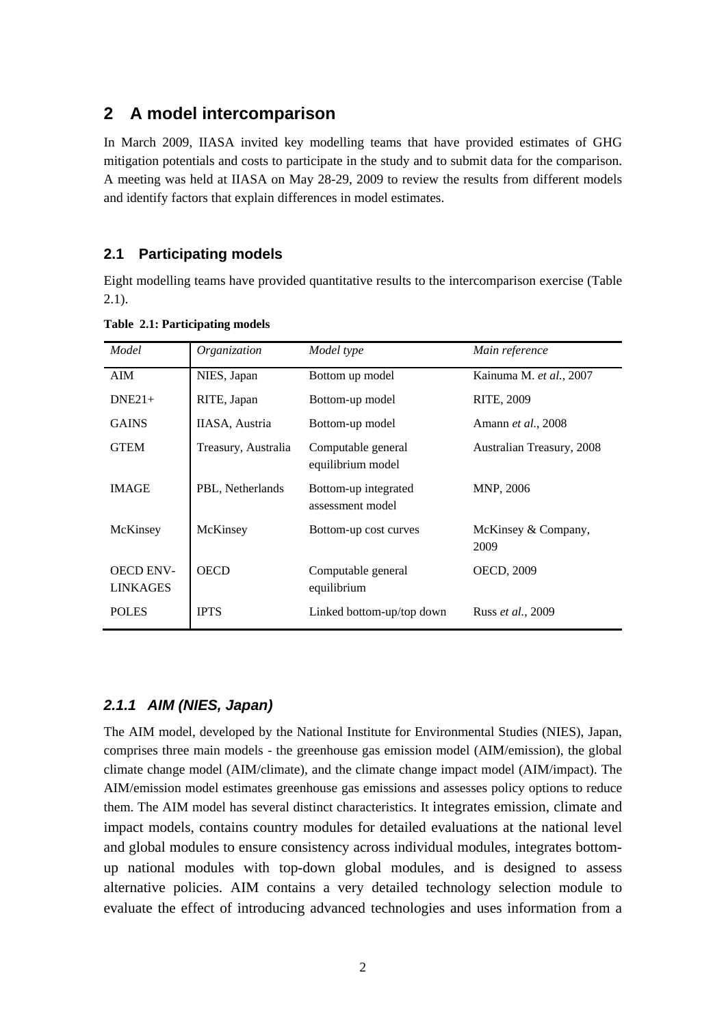# **2 A model intercomparison**

In March 2009, IIASA invited key modelling teams that have provided estimates of GHG mitigation potentials and costs to participate in the study and to submit data for the comparison. A meeting was held at IIASA on May 28-29, 2009 to review the results from different models and identify factors that explain differences in model estimates.

#### **2.1 Participating models**

Eight modelling teams have provided quantitative results to the intercomparison exercise (Table 2.1).

| Model            | Organization        | Model type                               | Main reference              |
|------------------|---------------------|------------------------------------------|-----------------------------|
| AIM              | NIES, Japan         | Bottom up model                          | Kainuma M. et al., 2007     |
| $DNE21+$         | RITE, Japan         | Bottom-up model                          | RITE, 2009                  |
| <b>GAINS</b>     | IIASA, Austria      | Bottom-up model                          | Amann et al., 2008          |
| <b>GTEM</b>      | Treasury, Australia | Computable general<br>equilibrium model  | Australian Treasury, 2008   |
| <b>IMAGE</b>     | PBL, Netherlands    | Bottom-up integrated<br>assessment model | MNP, 2006                   |
| McKinsey         | McKinsey            | Bottom-up cost curves                    | McKinsey & Company,<br>2009 |
| <b>OECD ENV-</b> | <b>OECD</b>         | Computable general                       | OECD, 2009                  |
| <b>LINKAGES</b>  |                     | equilibrium                              |                             |
| <b>POLES</b>     | <b>IPTS</b>         | Linked bottom-up/top down                | Russ et al., 2009           |

**Table 2.1: Participating models** 

#### *2.1.1 AIM (NIES, Japan)*

The AIM model, developed by the National Institute for Environmental Studies (NIES), Japan, comprises three main models - the greenhouse gas emission model (AIM/emission), the global climate change model (AIM/climate), and the climate change impact model (AIM/impact). The AIM/emission model estimates greenhouse gas emissions and assesses policy options to reduce them. The AIM model has several distinct characteristics. It integrates emission, climate and impact models, contains country modules for detailed evaluations at the national level and global modules to ensure consistency across individual modules, integrates bottomup national modules with top-down global modules, and is designed to assess alternative policies. AIM contains a very detailed technology selection module to evaluate the effect of introducing advanced technologies and uses information from a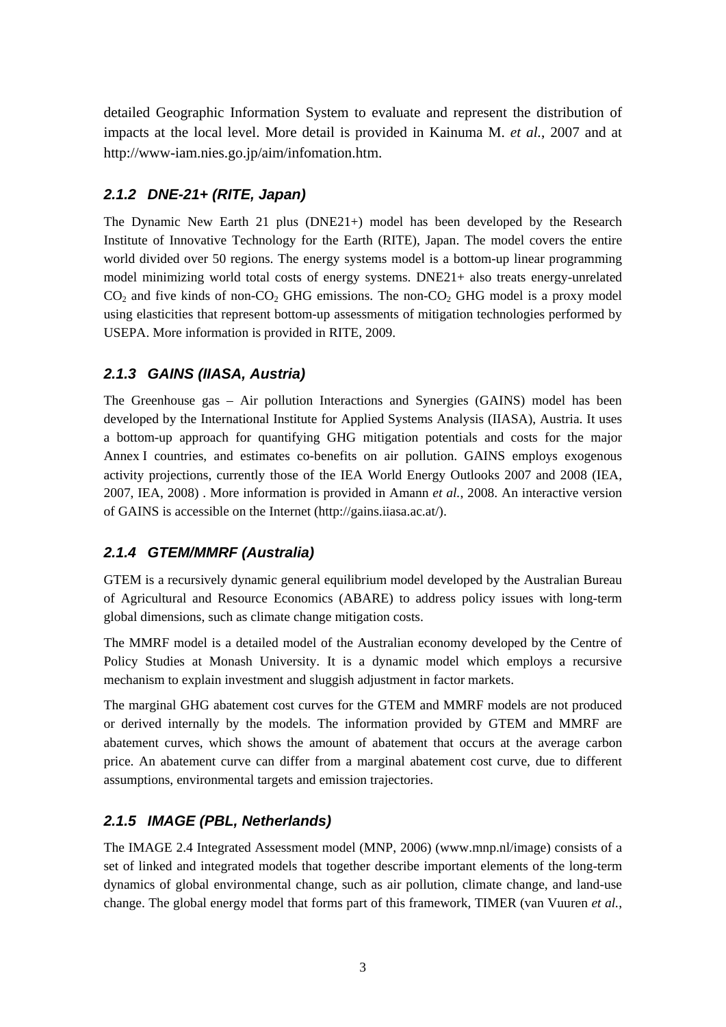detailed Geographic Information System to evaluate and represent the distribution of impacts at the local level. More detail is provided in Kainuma M. *et al.*, 2007 and at http://www-iam.nies.go.jp/aim/infomation.htm.

# *2.1.2 DNE-21+ (RITE, Japan)*

The Dynamic New Earth 21 plus (DNE21+) model has been developed by the Research Institute of Innovative Technology for the Earth (RITE), Japan. The model covers the entire world divided over 50 regions. The energy systems model is a bottom-up linear programming model minimizing world total costs of energy systems. DNE21+ also treats energy-unrelated  $CO<sub>2</sub>$  and five kinds of non-CO<sub>2</sub> GHG emissions. The non-CO<sub>2</sub> GHG model is a proxy model using elasticities that represent bottom-up assessments of mitigation technologies performed by USEPA. More information is provided in RITE, 2009.

# *2.1.3 GAINS (IIASA, Austria)*

The Greenhouse gas – Air pollution Interactions and Synergies (GAINS) model has been developed by the International Institute for Applied Systems Analysis (IIASA), Austria. It uses a bottom-up approach for quantifying GHG mitigation potentials and costs for the major Annex I countries, and estimates co-benefits on air pollution. GAINS employs exogenous activity projections, currently those of the IEA World Energy Outlooks 2007 and 2008 (IEA, 2007, IEA, 2008) . More information is provided in Amann *et al.*, 2008. An interactive version of GAINS is accessible on the Internet (http://gains.iiasa.ac.at/).

# *2.1.4 GTEM/MMRF (Australia)*

GTEM is a recursively dynamic general equilibrium model developed by the Australian Bureau of Agricultural and Resource Economics (ABARE) to address policy issues with long-term global dimensions, such as climate change mitigation costs.

The MMRF model is a detailed model of the Australian economy developed by the Centre of Policy Studies at Monash University. It is a dynamic model which employs a recursive mechanism to explain investment and sluggish adjustment in factor markets.

The marginal GHG abatement cost curves for the GTEM and MMRF models are not produced or derived internally by the models. The information provided by GTEM and MMRF are abatement curves, which shows the amount of abatement that occurs at the average carbon price. An abatement curve can differ from a marginal abatement cost curve, due to different assumptions, environmental targets and emission trajectories.

# *2.1.5 IMAGE (PBL, Netherlands)*

The IMAGE 2.4 Integrated Assessment model (MNP, 2006) (www.mnp.nl/image) consists of a set of linked and integrated models that together describe important elements of the long-term dynamics of global environmental change, such as air pollution, climate change, and land-use change. The global energy model that forms part of this framework, TIMER (van Vuuren *et al.*,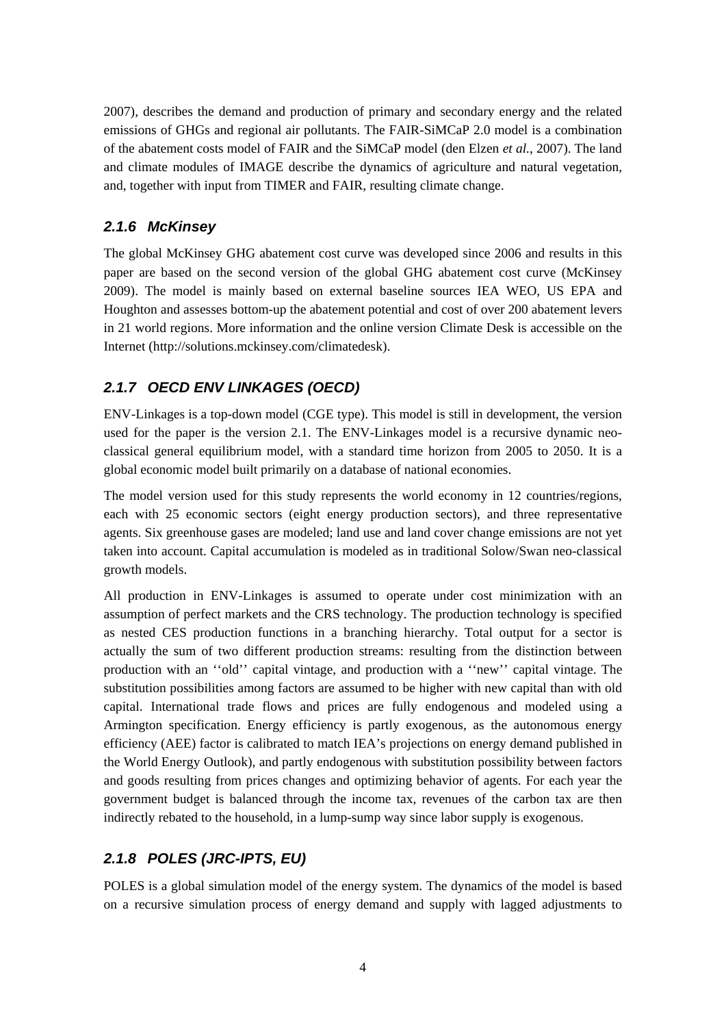2007), describes the demand and production of primary and secondary energy and the related emissions of GHGs and regional air pollutants. The FAIR-SiMCaP 2.0 model is a combination of the abatement costs model of FAIR and the SiMCaP model (den Elzen *et al.*, 2007). The land and climate modules of IMAGE describe the dynamics of agriculture and natural vegetation, and, together with input from TIMER and FAIR, resulting climate change.

## *2.1.6 McKinsey*

The global McKinsey GHG abatement cost curve was developed since 2006 and results in this paper are based on the second version of the global GHG abatement cost curve (McKinsey 2009). The model is mainly based on external baseline sources IEA WEO, US EPA and Houghton and assesses bottom-up the abatement potential and cost of over 200 abatement levers in 21 world regions. More information and the online version Climate Desk is accessible on the Internet (http://solutions.mckinsey.com/climatedesk).

# *2.1.7 OECD ENV LINKAGES (OECD)*

ENV-Linkages is a top-down model (CGE type). This model is still in development, the version used for the paper is the version 2.1. The ENV-Linkages model is a recursive dynamic neoclassical general equilibrium model, with a standard time horizon from 2005 to 2050. It is a global economic model built primarily on a database of national economies.

The model version used for this study represents the world economy in 12 countries/regions, each with 25 economic sectors (eight energy production sectors), and three representative agents. Six greenhouse gases are modeled; land use and land cover change emissions are not yet taken into account. Capital accumulation is modeled as in traditional Solow/Swan neo-classical growth models.

All production in ENV-Linkages is assumed to operate under cost minimization with an assumption of perfect markets and the CRS technology. The production technology is specified as nested CES production functions in a branching hierarchy. Total output for a sector is actually the sum of two different production streams: resulting from the distinction between production with an ''old'' capital vintage, and production with a ''new'' capital vintage. The substitution possibilities among factors are assumed to be higher with new capital than with old capital. International trade flows and prices are fully endogenous and modeled using a Armington specification. Energy efficiency is partly exogenous, as the autonomous energy efficiency (AEE) factor is calibrated to match IEA's projections on energy demand published in the World Energy Outlook), and partly endogenous with substitution possibility between factors and goods resulting from prices changes and optimizing behavior of agents. For each year the government budget is balanced through the income tax, revenues of the carbon tax are then indirectly rebated to the household, in a lump-sump way since labor supply is exogenous.

# *2.1.8 POLES (JRC-IPTS, EU)*

POLES is a global simulation model of the energy system. The dynamics of the model is based on a recursive simulation process of energy demand and supply with lagged adjustments to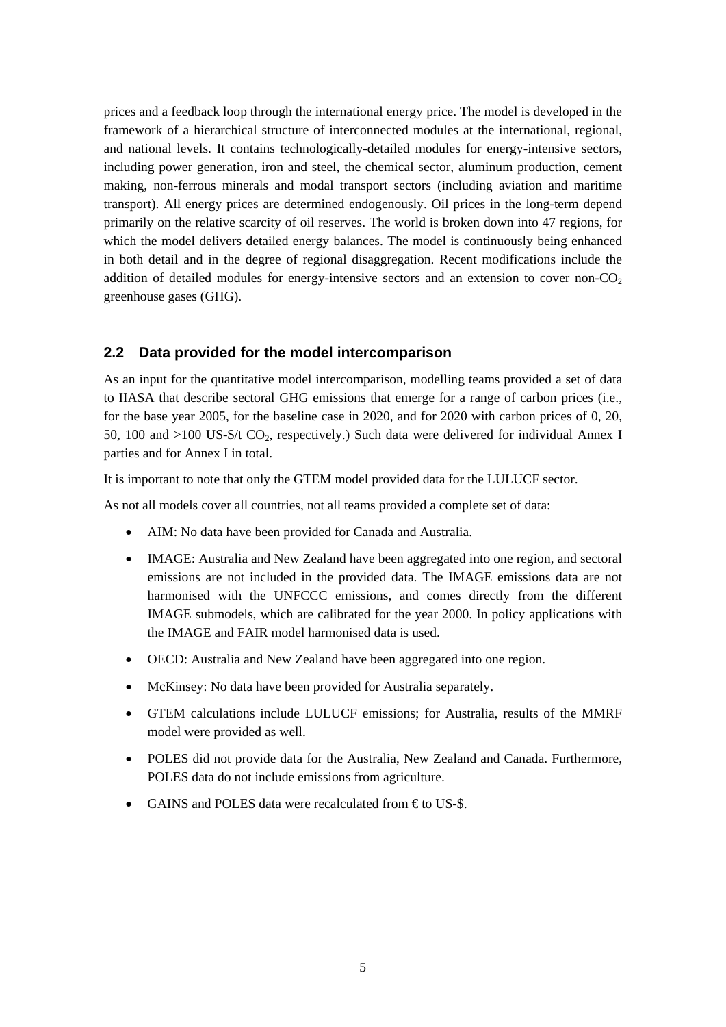prices and a feedback loop through the international energy price. The model is developed in the framework of a hierarchical structure of interconnected modules at the international, regional, and national levels. It contains technologically-detailed modules for energy-intensive sectors, including power generation, iron and steel, the chemical sector, aluminum production, cement making, non-ferrous minerals and modal transport sectors (including aviation and maritime transport). All energy prices are determined endogenously. Oil prices in the long-term depend primarily on the relative scarcity of oil reserves. The world is broken down into 47 regions, for which the model delivers detailed energy balances. The model is continuously being enhanced in both detail and in the degree of regional disaggregation. Recent modifications include the addition of detailed modules for energy-intensive sectors and an extension to cover non- $CO<sub>2</sub>$ greenhouse gases (GHG).

#### **2.2 Data provided for the model intercomparison**

As an input for the quantitative model intercomparison, modelling teams provided a set of data to IIASA that describe sectoral GHG emissions that emerge for a range of carbon prices (i.e., for the base year 2005, for the baseline case in 2020, and for 2020 with carbon prices of 0, 20, 50, 100 and  $>100$  US- $\frac{6}{2}$  CO<sub>2</sub>, respectively.) Such data were delivered for individual Annex I parties and for Annex I in total.

It is important to note that only the GTEM model provided data for the LULUCF sector.

As not all models cover all countries, not all teams provided a complete set of data:

- AIM: No data have been provided for Canada and Australia.
- IMAGE: Australia and New Zealand have been aggregated into one region, and sectoral emissions are not included in the provided data. The IMAGE emissions data are not harmonised with the UNFCCC emissions, and comes directly from the different IMAGE submodels, which are calibrated for the year 2000. In policy applications with the IMAGE and FAIR model harmonised data is used.
- OECD: Australia and New Zealand have been aggregated into one region.
- McKinsey: No data have been provided for Australia separately.
- GTEM calculations include LULUCF emissions; for Australia, results of the MMRF model were provided as well.
- POLES did not provide data for the Australia, New Zealand and Canada. Furthermore, POLES data do not include emissions from agriculture.
- GAINS and POLES data were recalculated from  $\epsilon$  to US-\$.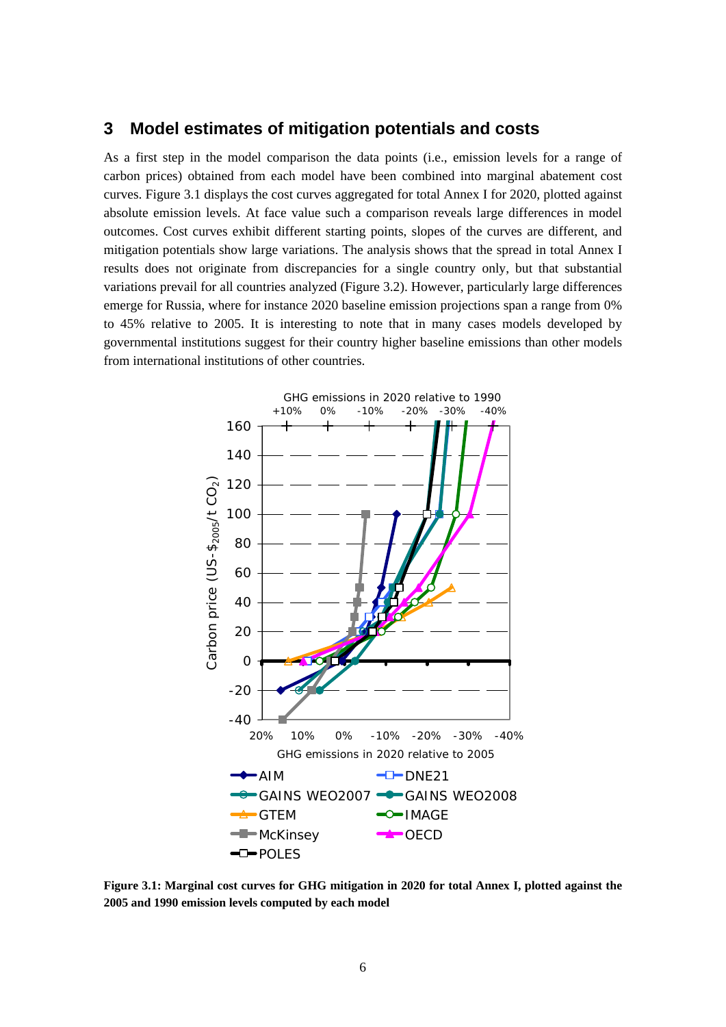## **3 Model estimates of mitigation potentials and costs**

As a first step in the model comparison the data points (i.e., emission levels for a range of carbon prices) obtained from each model have been combined into marginal abatement cost curves. Figure 3.1 displays the cost curves aggregated for total Annex I for 2020, plotted against absolute emission levels. At face value such a comparison reveals large differences in model outcomes. Cost curves exhibit different starting points, slopes of the curves are different, and mitigation potentials show large variations. The analysis shows that the spread in total Annex I results does not originate from discrepancies for a single country only, but that substantial variations prevail for all countries analyzed (Figure 3.2). However, particularly large differences emerge for Russia, where for instance 2020 baseline emission projections span a range from 0% to 45% relative to 2005. It is interesting to note that in many cases models developed by governmental institutions suggest for their country higher baseline emissions than other models from international institutions of other countries.



**Figure 3.1: Marginal cost curves for GHG mitigation in 2020 for total Annex I, plotted against the 2005 and 1990 emission levels computed by each model**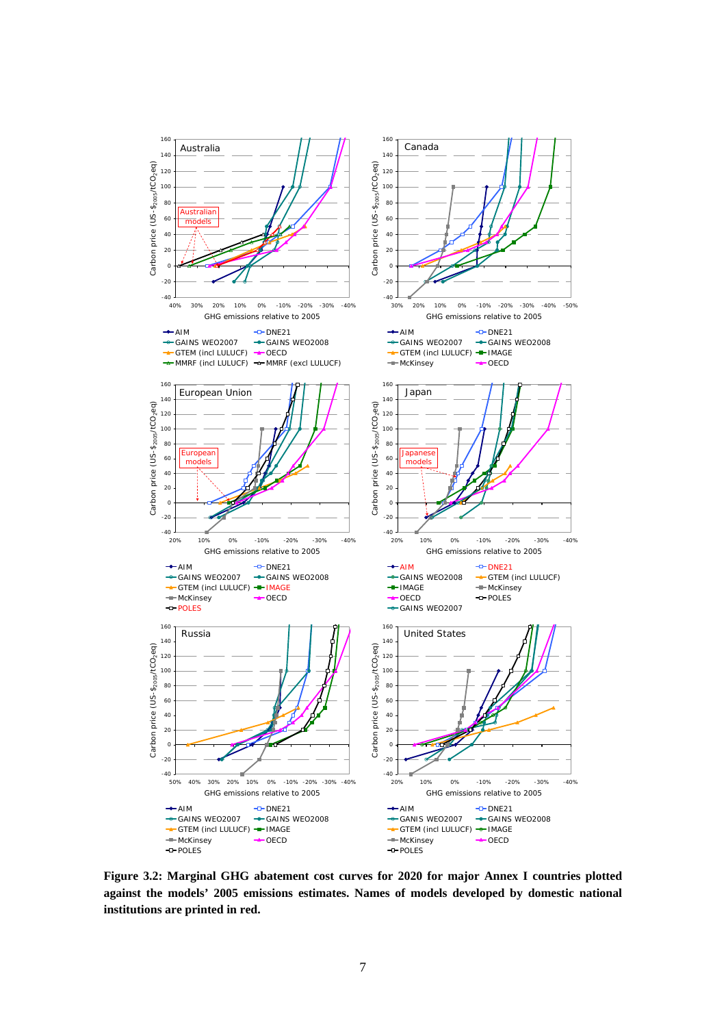

**Figure 3.2: Marginal GHG abatement cost curves for 2020 for major Annex I countries plotted against the models' 2005 emissions estimates. Names of models developed by domestic national institutions are printed in red.**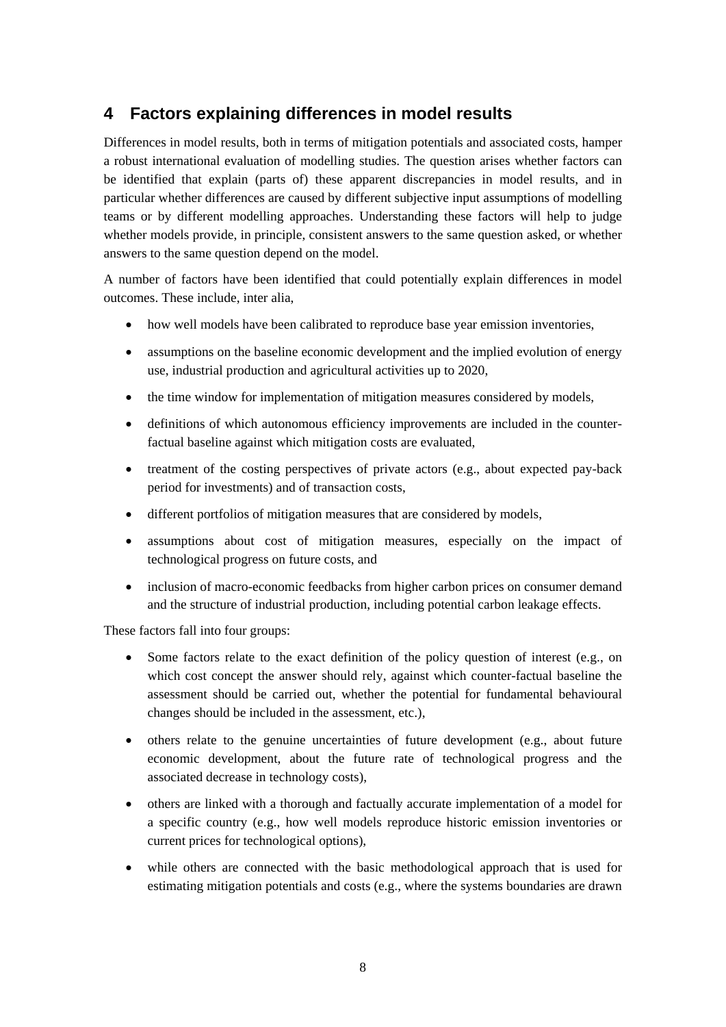# **4 Factors explaining differences in model results**

Differences in model results, both in terms of mitigation potentials and associated costs, hamper a robust international evaluation of modelling studies. The question arises whether factors can be identified that explain (parts of) these apparent discrepancies in model results, and in particular whether differences are caused by different subjective input assumptions of modelling teams or by different modelling approaches. Understanding these factors will help to judge whether models provide, in principle, consistent answers to the same question asked, or whether answers to the same question depend on the model.

A number of factors have been identified that could potentially explain differences in model outcomes. These include, inter alia,

- how well models have been calibrated to reproduce base year emission inventories,
- assumptions on the baseline economic development and the implied evolution of energy use, industrial production and agricultural activities up to 2020,
- the time window for implementation of mitigation measures considered by models,
- definitions of which autonomous efficiency improvements are included in the counterfactual baseline against which mitigation costs are evaluated,
- treatment of the costing perspectives of private actors (e.g., about expected pay-back period for investments) and of transaction costs,
- different portfolios of mitigation measures that are considered by models,
- assumptions about cost of mitigation measures, especially on the impact of technological progress on future costs, and
- inclusion of macro-economic feedbacks from higher carbon prices on consumer demand and the structure of industrial production, including potential carbon leakage effects.

These factors fall into four groups:

- Some factors relate to the exact definition of the policy question of interest (e.g., on which cost concept the answer should rely, against which counter-factual baseline the assessment should be carried out, whether the potential for fundamental behavioural changes should be included in the assessment, etc.),
- others relate to the genuine uncertainties of future development (e.g., about future economic development, about the future rate of technological progress and the associated decrease in technology costs),
- others are linked with a thorough and factually accurate implementation of a model for a specific country (e.g., how well models reproduce historic emission inventories or current prices for technological options),
- while others are connected with the basic methodological approach that is used for estimating mitigation potentials and costs (e.g., where the systems boundaries are drawn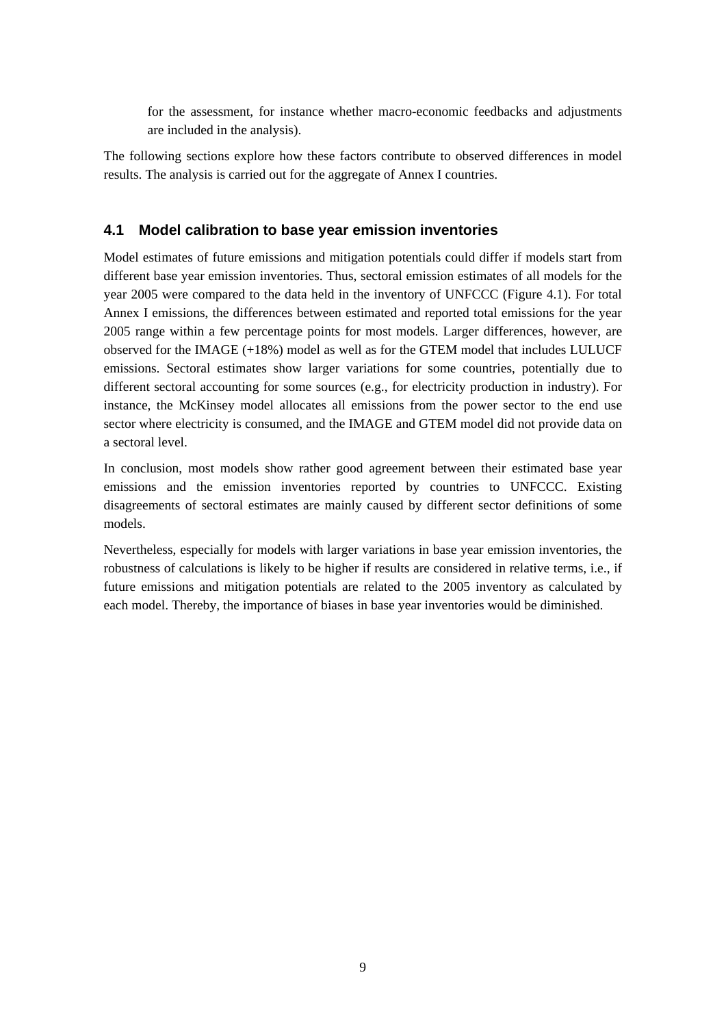for the assessment, for instance whether macro-economic feedbacks and adjustments are included in the analysis).

The following sections explore how these factors contribute to observed differences in model results. The analysis is carried out for the aggregate of Annex I countries.

### **4.1 Model calibration to base year emission inventories**

Model estimates of future emissions and mitigation potentials could differ if models start from different base year emission inventories. Thus, sectoral emission estimates of all models for the year 2005 were compared to the data held in the inventory of UNFCCC (Figure 4.1). For total Annex I emissions, the differences between estimated and reported total emissions for the year 2005 range within a few percentage points for most models. Larger differences, however, are observed for the IMAGE (+18%) model as well as for the GTEM model that includes LULUCF emissions. Sectoral estimates show larger variations for some countries, potentially due to different sectoral accounting for some sources (e.g., for electricity production in industry). For instance, the McKinsey model allocates all emissions from the power sector to the end use sector where electricity is consumed, and the IMAGE and GTEM model did not provide data on a sectoral level.

In conclusion, most models show rather good agreement between their estimated base year emissions and the emission inventories reported by countries to UNFCCC. Existing disagreements of sectoral estimates are mainly caused by different sector definitions of some models.

Nevertheless, especially for models with larger variations in base year emission inventories, the robustness of calculations is likely to be higher if results are considered in relative terms, i.e., if future emissions and mitigation potentials are related to the 2005 inventory as calculated by each model. Thereby, the importance of biases in base year inventories would be diminished.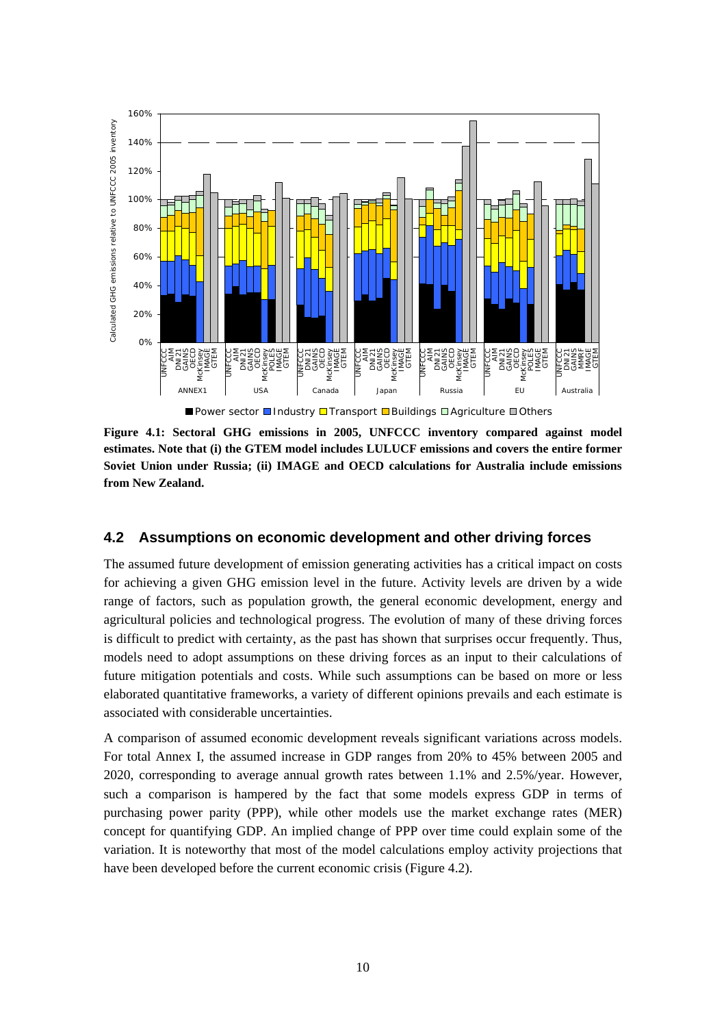

■ Power sector ■Industry □ Transport ■ Buildings □ Agriculture ■ Others

**Figure 4.1: Sectoral GHG emissions in 2005, UNFCCC inventory compared against model estimates. Note that (i) the GTEM model includes LULUCF emissions and covers the entire former Soviet Union under Russia; (ii) IMAGE and OECD calculations for Australia include emissions from New Zealand.** 

#### **4.2 Assumptions on economic development and other driving forces**

The assumed future development of emission generating activities has a critical impact on costs for achieving a given GHG emission level in the future. Activity levels are driven by a wide range of factors, such as population growth, the general economic development, energy and agricultural policies and technological progress. The evolution of many of these driving forces is difficult to predict with certainty, as the past has shown that surprises occur frequently. Thus, models need to adopt assumptions on these driving forces as an input to their calculations of future mitigation potentials and costs. While such assumptions can be based on more or less elaborated quantitative frameworks, a variety of different opinions prevails and each estimate is associated with considerable uncertainties.

A comparison of assumed economic development reveals significant variations across models. For total Annex I, the assumed increase in GDP ranges from 20% to 45% between 2005 and 2020, corresponding to average annual growth rates between 1.1% and 2.5%/year. However, such a comparison is hampered by the fact that some models express GDP in terms of purchasing power parity (PPP), while other models use the market exchange rates (MER) concept for quantifying GDP. An implied change of PPP over time could explain some of the variation. It is noteworthy that most of the model calculations employ activity projections that have been developed before the current economic crisis (Figure 4.2).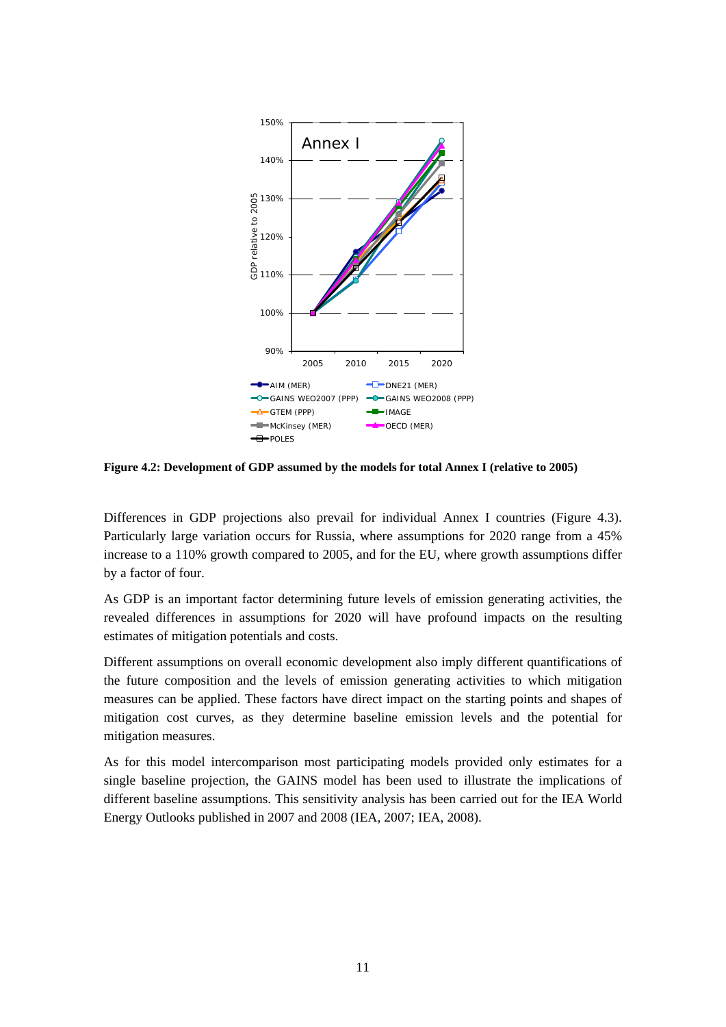

**Figure 4.2: Development of GDP assumed by the models for total Annex I (relative to 2005)** 

Differences in GDP projections also prevail for individual Annex I countries (Figure 4.3). Particularly large variation occurs for Russia, where assumptions for 2020 range from a 45% increase to a 110% growth compared to 2005, and for the EU, where growth assumptions differ by a factor of four.

As GDP is an important factor determining future levels of emission generating activities, the revealed differences in assumptions for 2020 will have profound impacts on the resulting estimates of mitigation potentials and costs.

Different assumptions on overall economic development also imply different quantifications of the future composition and the levels of emission generating activities to which mitigation measures can be applied. These factors have direct impact on the starting points and shapes of mitigation cost curves, as they determine baseline emission levels and the potential for mitigation measures.

As for this model intercomparison most participating models provided only estimates for a single baseline projection, the GAINS model has been used to illustrate the implications of different baseline assumptions. This sensitivity analysis has been carried out for the IEA World Energy Outlooks published in 2007 and 2008 (IEA, 2007; IEA, 2008).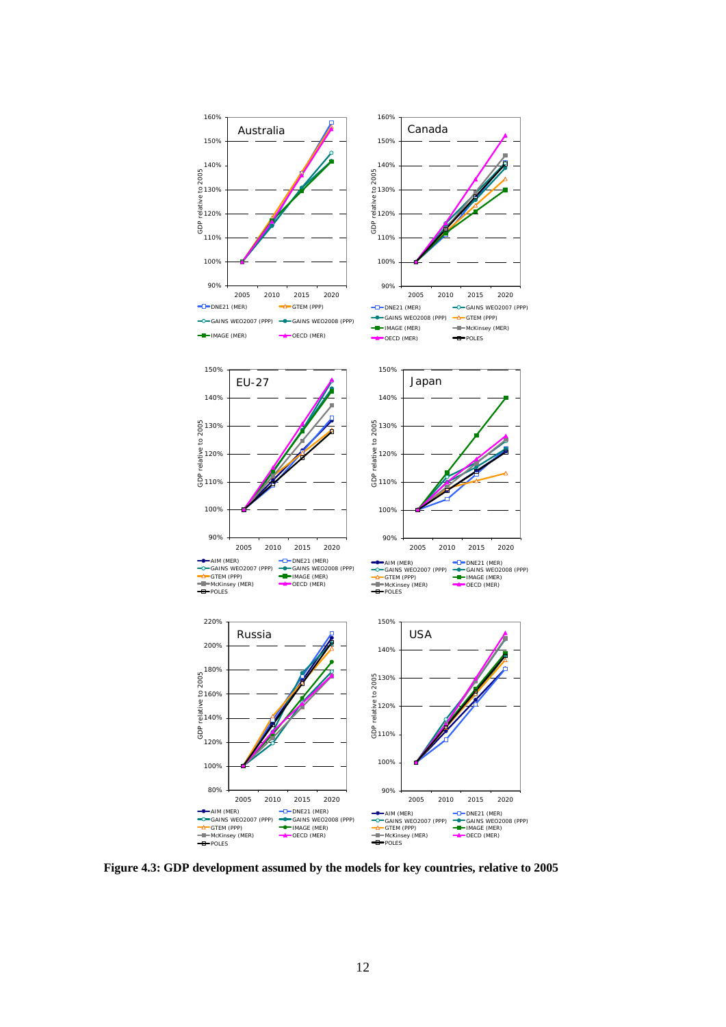

**Figure 4.3: GDP development assumed by the models for key countries, relative to 2005**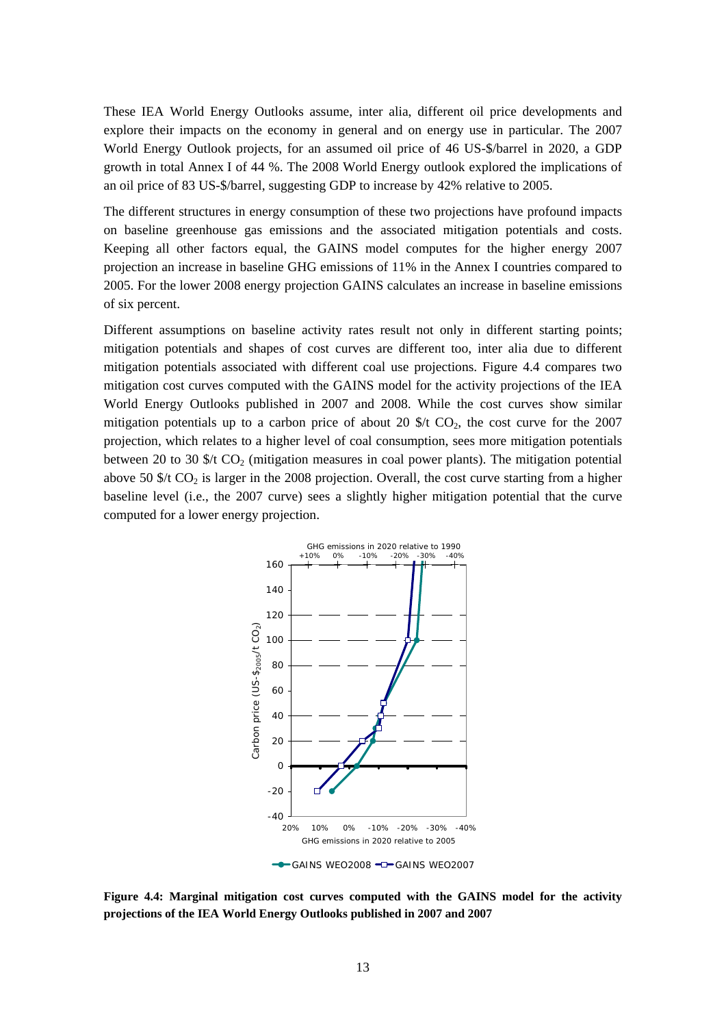These IEA World Energy Outlooks assume, inter alia, different oil price developments and explore their impacts on the economy in general and on energy use in particular. The 2007 World Energy Outlook projects, for an assumed oil price of 46 US-\$/barrel in 2020, a GDP growth in total Annex I of 44 %. The 2008 World Energy outlook explored the implications of an oil price of 83 US-\$/barrel, suggesting GDP to increase by 42% relative to 2005.

The different structures in energy consumption of these two projections have profound impacts on baseline greenhouse gas emissions and the associated mitigation potentials and costs. Keeping all other factors equal, the GAINS model computes for the higher energy 2007 projection an increase in baseline GHG emissions of 11% in the Annex I countries compared to 2005. For the lower 2008 energy projection GAINS calculates an increase in baseline emissions of six percent.

Different assumptions on baseline activity rates result not only in different starting points; mitigation potentials and shapes of cost curves are different too, inter alia due to different mitigation potentials associated with different coal use projections. Figure 4.4 compares two mitigation cost curves computed with the GAINS model for the activity projections of the IEA World Energy Outlooks published in 2007 and 2008. While the cost curves show similar mitigation potentials up to a carbon price of about 20  $\frac{1}{2}$  CO<sub>2</sub>, the cost curve for the 2007 projection, which relates to a higher level of coal consumption, sees more mitigation potentials between 20 to 30  $f$  CO<sub>2</sub> (mitigation measures in coal power plants). The mitigation potential above 50  $\frac{1}{2}$  to  $\frac{1}{2}$  is larger in the 2008 projection. Overall, the cost curve starting from a higher baseline level (i.e., the 2007 curve) sees a slightly higher mitigation potential that the curve computed for a lower energy projection.



**Figure 4.4: Marginal mitigation cost curves computed with the GAINS model for the activity projections of the IEA World Energy Outlooks published in 2007 and 2007**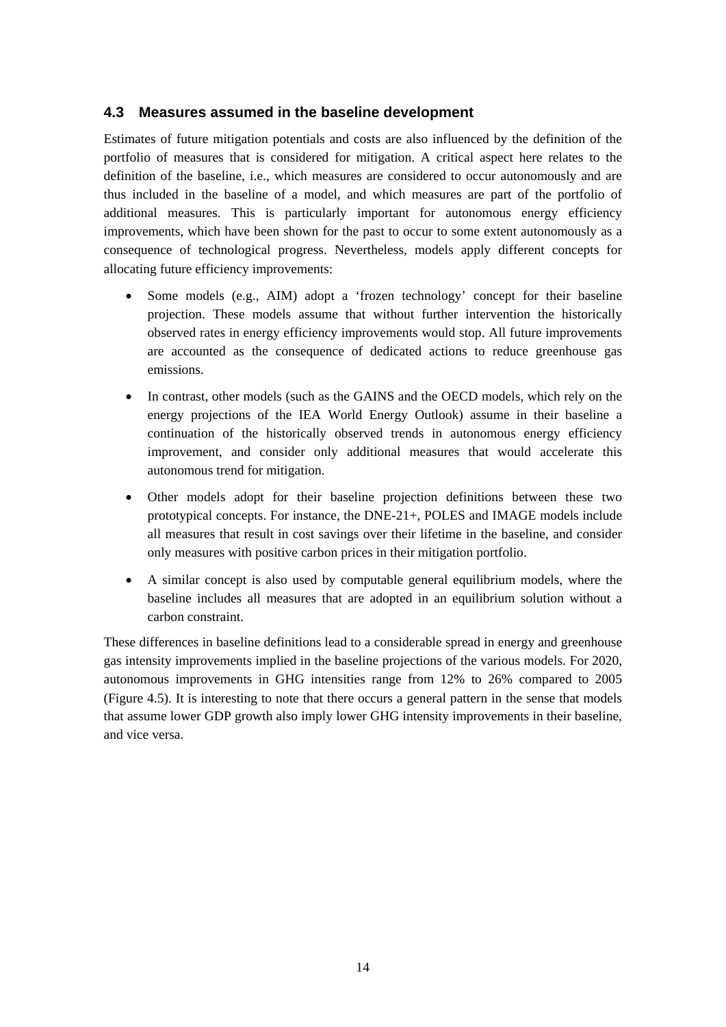#### **4.3 Measures assumed in the baseline development**

Estimates of future mitigation potentials and costs are also influenced by the definition of the portfolio of measures that is considered for mitigation. A critical aspect here relates to the definition of the baseline, i.e., which measures are considered to occur autonomously and are thus included in the baseline of a model, and which measures are part of the portfolio of additional measures. This is particularly important for autonomous energy efficiency improvements, which have been shown for the past to occur to some extent autonomously as a consequence of technological progress. Nevertheless, models apply different concepts for allocating future efficiency improvements:

- Some models (e.g., AIM) adopt a 'frozen technology' concept for their baseline projection. These models assume that without further intervention the historically observed rates in energy efficiency improvements would stop. All future improvements are accounted as the consequence of dedicated actions to reduce greenhouse gas emissions.
- In contrast, other models (such as the GAINS and the OECD models, which rely on the energy projections of the IEA World Energy Outlook) assume in their baseline a continuation of the historically observed trends in autonomous energy efficiency improvement, and consider only additional measures that would accelerate this autonomous trend for mitigation.
- Other models adopt for their baseline projection definitions between these two prototypical concepts. For instance, the DNE-21+, POLES and IMAGE models include all measures that result in cost savings over their lifetime in the baseline, and consider only measures with positive carbon prices in their mitigation portfolio.
- A similar concept is also used by computable general equilibrium models, where the baseline includes all measures that are adopted in an equilibrium solution without a carbon constraint.

These differences in baseline definitions lead to a considerable spread in energy and greenhouse gas intensity improvements implied in the baseline projections of the various models. For 2020, autonomous improvements in GHG intensities range from 12% to 26% compared to 2005 (Figure 4.5). It is interesting to note that there occurs a general pattern in the sense that models that assume lower GDP growth also imply lower GHG intensity improvements in their baseline, and vice versa.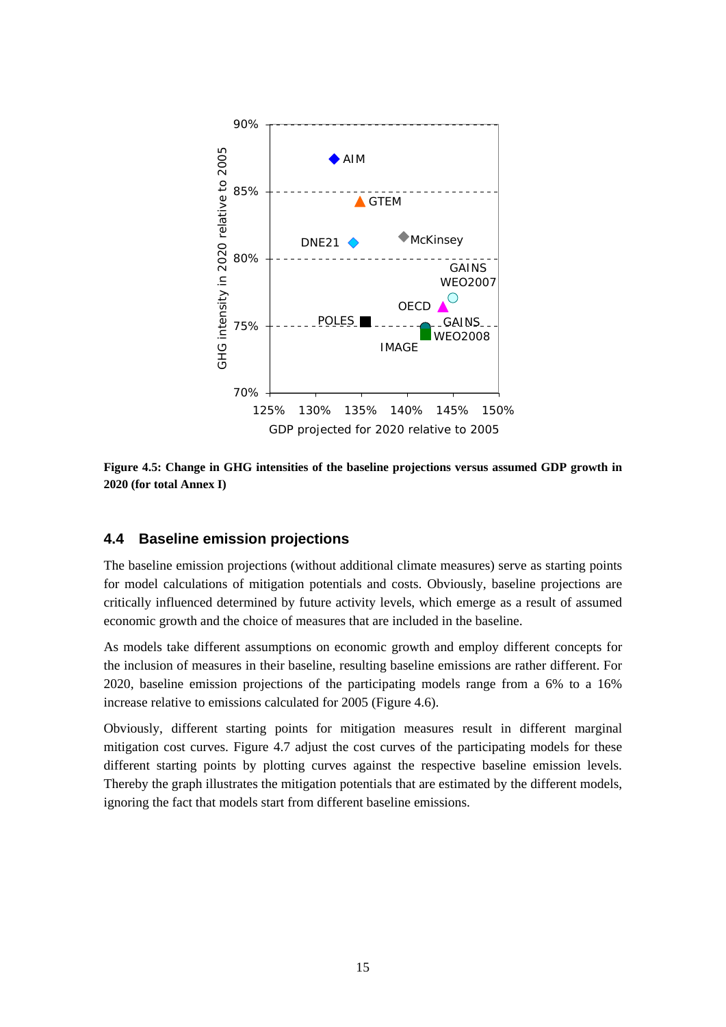

**Figure 4.5: Change in GHG intensities of the baseline projections versus assumed GDP growth in 2020 (for total Annex I)** 

#### **4.4 Baseline emission projections**

The baseline emission projections (without additional climate measures) serve as starting points for model calculations of mitigation potentials and costs. Obviously, baseline projections are critically influenced determined by future activity levels, which emerge as a result of assumed economic growth and the choice of measures that are included in the baseline.

As models take different assumptions on economic growth and employ different concepts for the inclusion of measures in their baseline, resulting baseline emissions are rather different. For 2020, baseline emission projections of the participating models range from a 6% to a 16% increase relative to emissions calculated for 2005 (Figure 4.6).

Obviously, different starting points for mitigation measures result in different marginal mitigation cost curves. Figure 4.7 adjust the cost curves of the participating models for these different starting points by plotting curves against the respective baseline emission levels. Thereby the graph illustrates the mitigation potentials that are estimated by the different models, ignoring the fact that models start from different baseline emissions.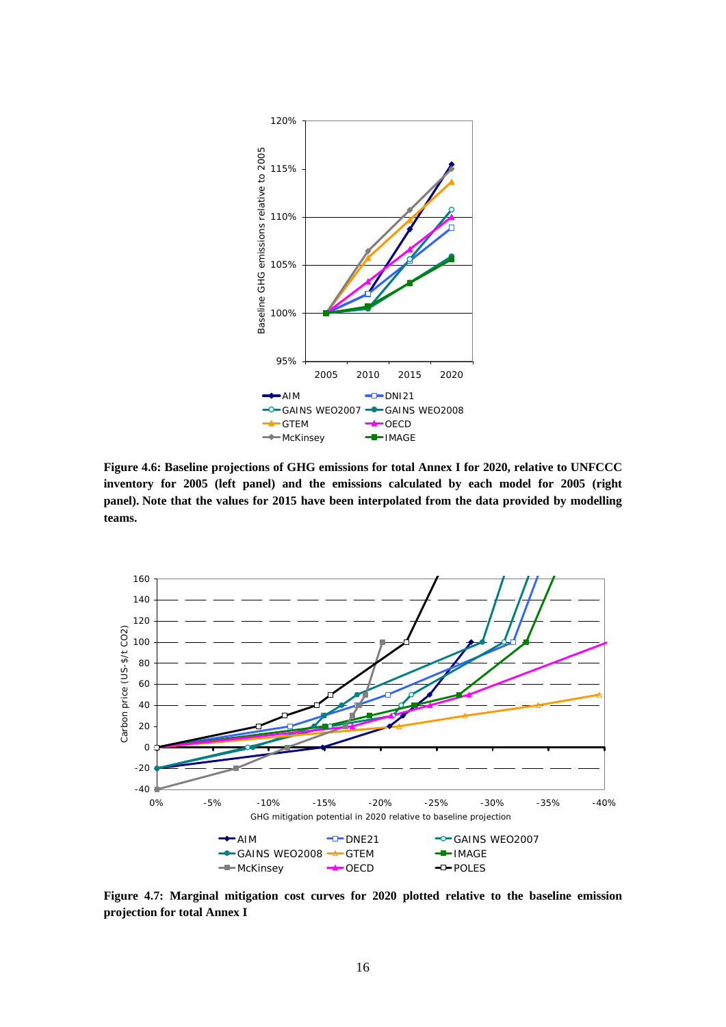

**Figure 4.6: Baseline projections of GHG emissions for total Annex I for 2020, relative to UNFCCC inventory for 2005 (left panel) and the emissions calculated by each model for 2005 (right panel). Note that the values for 2015 have been interpolated from the data provided by modelling teams.** 



**Figure 4.7: Marginal mitigation cost curves for 2020 plotted relative to the baseline emission projection for total Annex I**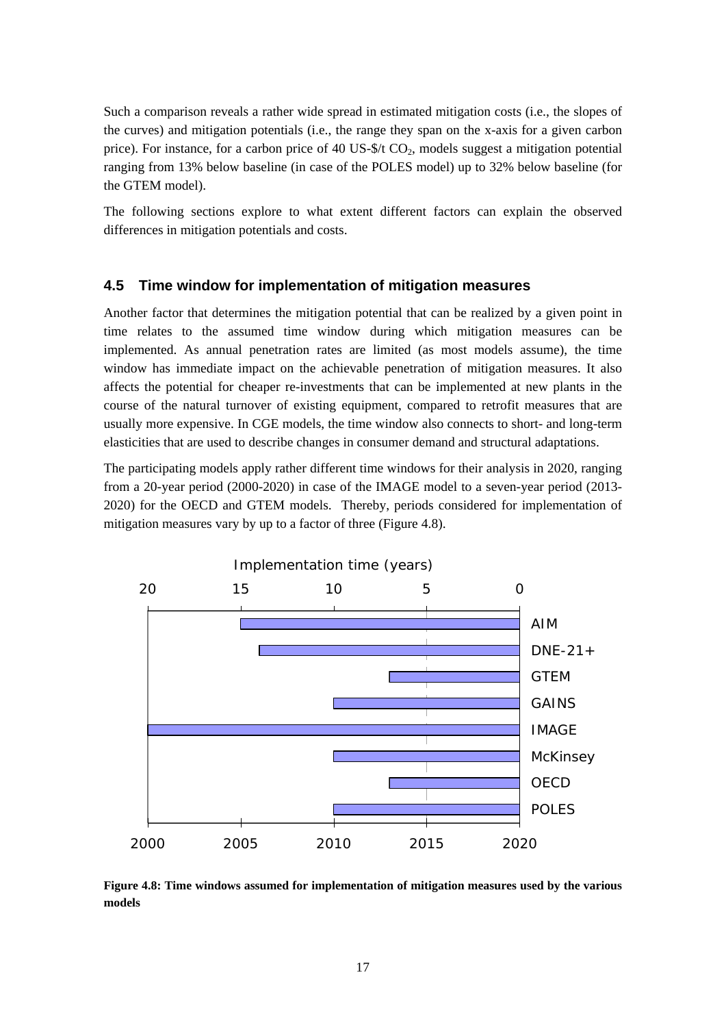Such a comparison reveals a rather wide spread in estimated mitigation costs (i.e., the slopes of the curves) and mitigation potentials (i.e., the range they span on the x-axis for a given carbon price). For instance, for a carbon price of 40 US- $\frac{1}{2}$  CO<sub>2</sub>, models suggest a mitigation potential ranging from 13% below baseline (in case of the POLES model) up to 32% below baseline (for the GTEM model).

The following sections explore to what extent different factors can explain the observed differences in mitigation potentials and costs.

#### **4.5 Time window for implementation of mitigation measures**

Another factor that determines the mitigation potential that can be realized by a given point in time relates to the assumed time window during which mitigation measures can be implemented. As annual penetration rates are limited (as most models assume), the time window has immediate impact on the achievable penetration of mitigation measures. It also affects the potential for cheaper re-investments that can be implemented at new plants in the course of the natural turnover of existing equipment, compared to retrofit measures that are usually more expensive. In CGE models, the time window also connects to short- and long-term elasticities that are used to describe changes in consumer demand and structural adaptations.

The participating models apply rather different time windows for their analysis in 2020, ranging from a 20-year period (2000-2020) in case of the IMAGE model to a seven-year period (2013- 2020) for the OECD and GTEM models. Thereby, periods considered for implementation of mitigation measures vary by up to a factor of three (Figure 4.8).



**Figure 4.8: Time windows assumed for implementation of mitigation measures used by the various models**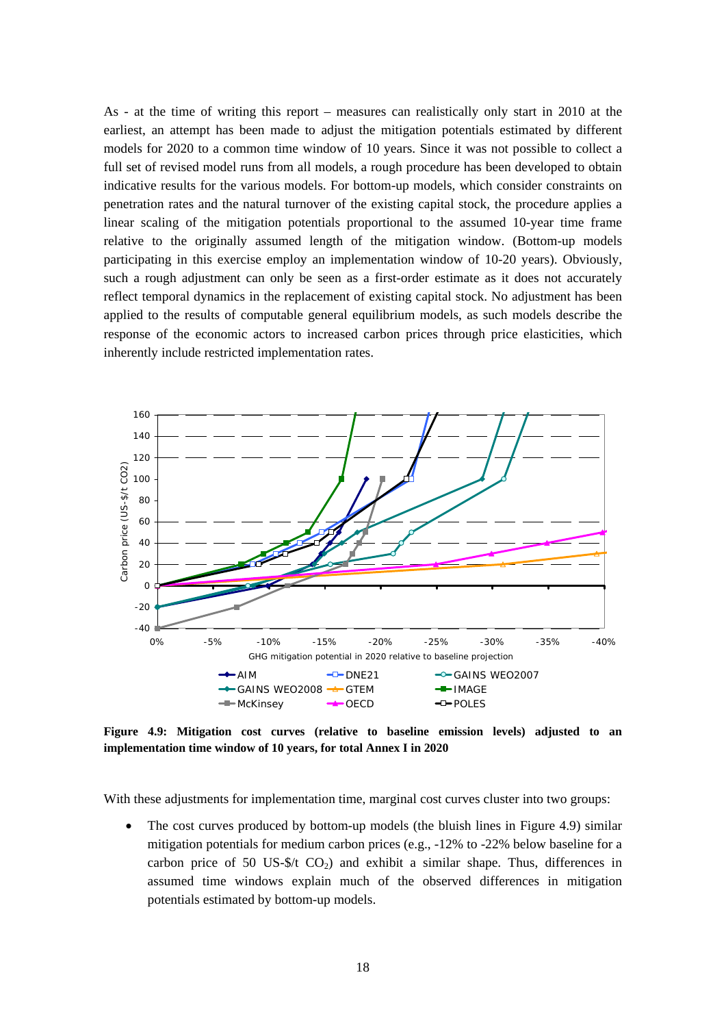As - at the time of writing this report – measures can realistically only start in 2010 at the earliest, an attempt has been made to adjust the mitigation potentials estimated by different models for 2020 to a common time window of 10 years. Since it was not possible to collect a full set of revised model runs from all models, a rough procedure has been developed to obtain indicative results for the various models. For bottom-up models, which consider constraints on penetration rates and the natural turnover of the existing capital stock, the procedure applies a linear scaling of the mitigation potentials proportional to the assumed 10-year time frame relative to the originally assumed length of the mitigation window. (Bottom-up models participating in this exercise employ an implementation window of 10-20 years). Obviously, such a rough adjustment can only be seen as a first-order estimate as it does not accurately reflect temporal dynamics in the replacement of existing capital stock. No adjustment has been applied to the results of computable general equilibrium models, as such models describe the response of the economic actors to increased carbon prices through price elasticities, which inherently include restricted implementation rates.



**Figure 4.9: Mitigation cost curves (relative to baseline emission levels) adjusted to an implementation time window of 10 years, for total Annex I in 2020** 

With these adjustments for implementation time, marginal cost curves cluster into two groups:

The cost curves produced by bottom-up models (the bluish lines in Figure 4.9) similar mitigation potentials for medium carbon prices (e.g., -12% to -22% below baseline for a carbon price of 50 US- $$/t$  CO<sub>2</sub>) and exhibit a similar shape. Thus, differences in assumed time windows explain much of the observed differences in mitigation potentials estimated by bottom-up models.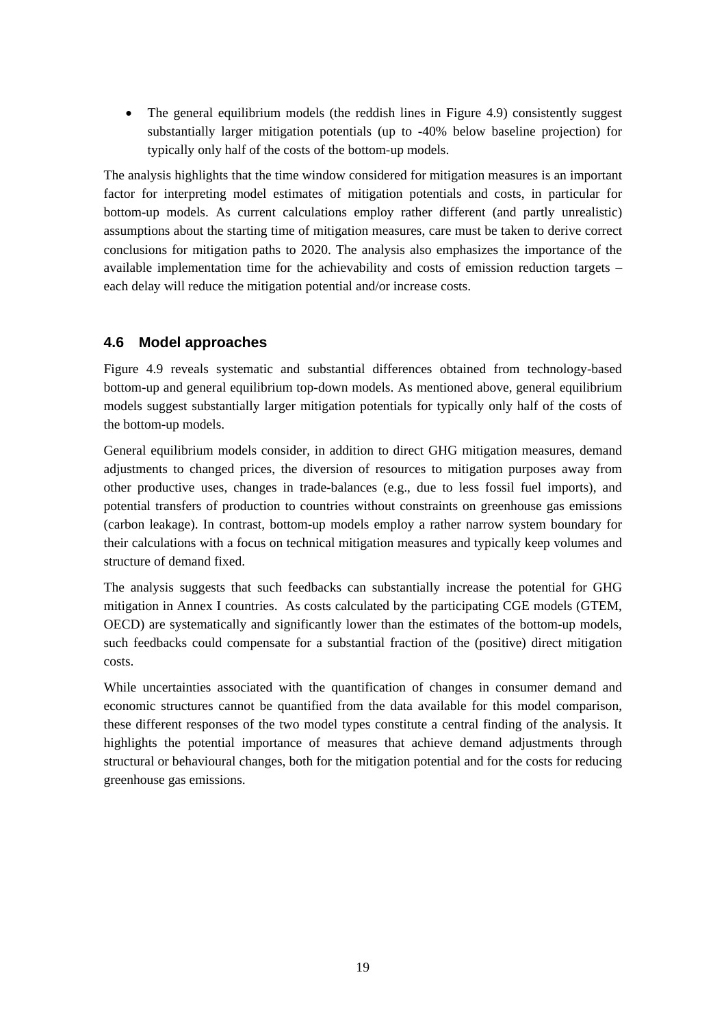• The general equilibrium models (the reddish lines in Figure 4.9) consistently suggest substantially larger mitigation potentials (up to -40% below baseline projection) for typically only half of the costs of the bottom-up models.

The analysis highlights that the time window considered for mitigation measures is an important factor for interpreting model estimates of mitigation potentials and costs, in particular for bottom-up models. As current calculations employ rather different (and partly unrealistic) assumptions about the starting time of mitigation measures, care must be taken to derive correct conclusions for mitigation paths to 2020. The analysis also emphasizes the importance of the available implementation time for the achievability and costs of emission reduction targets – each delay will reduce the mitigation potential and/or increase costs.

## **4.6 Model approaches**

Figure 4.9 reveals systematic and substantial differences obtained from technology-based bottom-up and general equilibrium top-down models. As mentioned above, general equilibrium models suggest substantially larger mitigation potentials for typically only half of the costs of the bottom-up models.

General equilibrium models consider, in addition to direct GHG mitigation measures, demand adjustments to changed prices, the diversion of resources to mitigation purposes away from other productive uses, changes in trade-balances (e.g., due to less fossil fuel imports), and potential transfers of production to countries without constraints on greenhouse gas emissions (carbon leakage). In contrast, bottom-up models employ a rather narrow system boundary for their calculations with a focus on technical mitigation measures and typically keep volumes and structure of demand fixed.

The analysis suggests that such feedbacks can substantially increase the potential for GHG mitigation in Annex I countries. As costs calculated by the participating CGE models (GTEM, OECD) are systematically and significantly lower than the estimates of the bottom-up models, such feedbacks could compensate for a substantial fraction of the (positive) direct mitigation costs.

While uncertainties associated with the quantification of changes in consumer demand and economic structures cannot be quantified from the data available for this model comparison, these different responses of the two model types constitute a central finding of the analysis. It highlights the potential importance of measures that achieve demand adjustments through structural or behavioural changes, both for the mitigation potential and for the costs for reducing greenhouse gas emissions.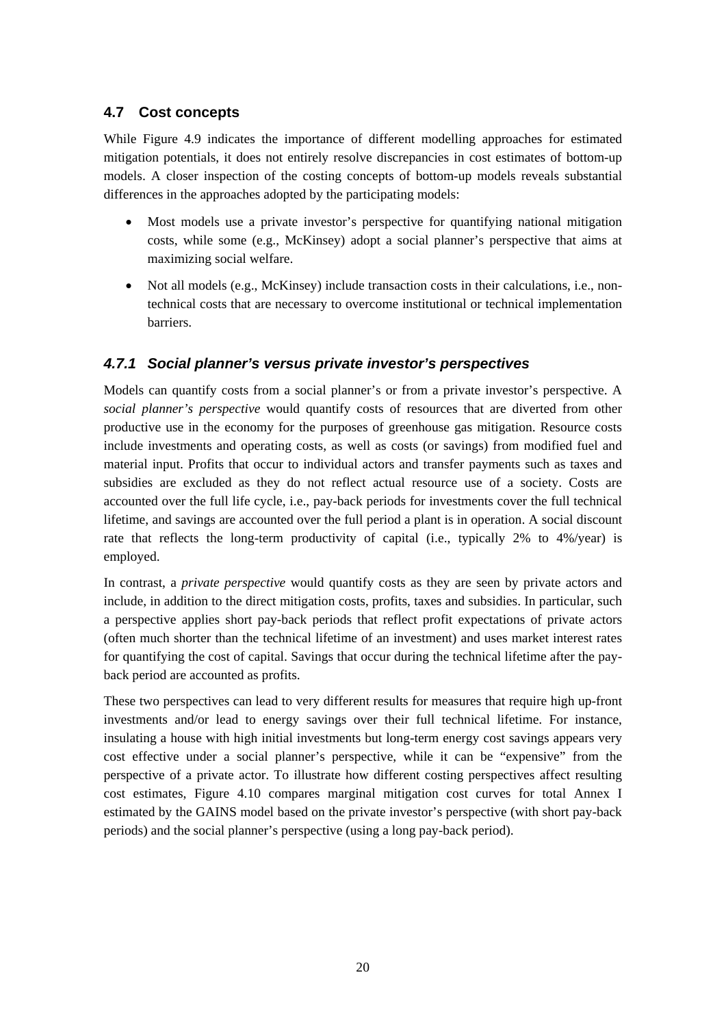## **4.7 Cost concepts**

While Figure 4.9 indicates the importance of different modelling approaches for estimated mitigation potentials, it does not entirely resolve discrepancies in cost estimates of bottom-up models. A closer inspection of the costing concepts of bottom-up models reveals substantial differences in the approaches adopted by the participating models:

- Most models use a private investor's perspective for quantifying national mitigation costs, while some (e.g., McKinsey) adopt a social planner's perspective that aims at maximizing social welfare.
- Not all models (e.g., McKinsey) include transaction costs in their calculations, i.e., nontechnical costs that are necessary to overcome institutional or technical implementation barriers.

## *4.7.1 Social planner's versus private investor's perspectives*

Models can quantify costs from a social planner's or from a private investor's perspective. A *social planner's perspective* would quantify costs of resources that are diverted from other productive use in the economy for the purposes of greenhouse gas mitigation. Resource costs include investments and operating costs, as well as costs (or savings) from modified fuel and material input. Profits that occur to individual actors and transfer payments such as taxes and subsidies are excluded as they do not reflect actual resource use of a society. Costs are accounted over the full life cycle, i.e., pay-back periods for investments cover the full technical lifetime, and savings are accounted over the full period a plant is in operation. A social discount rate that reflects the long-term productivity of capital (i.e., typically 2% to 4%/year) is employed.

In contrast, a *private perspective* would quantify costs as they are seen by private actors and include, in addition to the direct mitigation costs, profits, taxes and subsidies. In particular, such a perspective applies short pay-back periods that reflect profit expectations of private actors (often much shorter than the technical lifetime of an investment) and uses market interest rates for quantifying the cost of capital. Savings that occur during the technical lifetime after the payback period are accounted as profits.

These two perspectives can lead to very different results for measures that require high up-front investments and/or lead to energy savings over their full technical lifetime. For instance, insulating a house with high initial investments but long-term energy cost savings appears very cost effective under a social planner's perspective, while it can be "expensive" from the perspective of a private actor. To illustrate how different costing perspectives affect resulting cost estimates, Figure 4.10 compares marginal mitigation cost curves for total Annex I estimated by the GAINS model based on the private investor's perspective (with short pay-back periods) and the social planner's perspective (using a long pay-back period).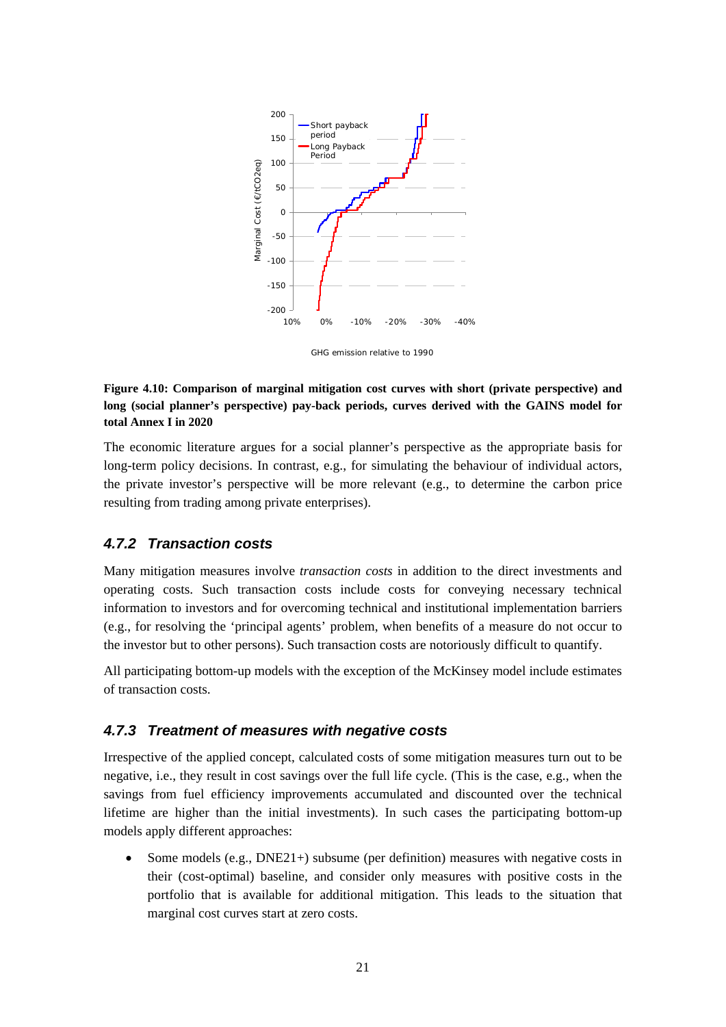

GHG emission relative to 1990

#### **Figure 4.10: Comparison of marginal mitigation cost curves with short (private perspective) and long (social planner's perspective) pay-back periods, curves derived with the GAINS model for total Annex I in 2020**

The economic literature argues for a social planner's perspective as the appropriate basis for long-term policy decisions. In contrast, e.g., for simulating the behaviour of individual actors, the private investor's perspective will be more relevant (e.g., to determine the carbon price resulting from trading among private enterprises).

#### *4.7.2 Transaction costs*

Many mitigation measures involve *transaction costs* in addition to the direct investments and operating costs. Such transaction costs include costs for conveying necessary technical information to investors and for overcoming technical and institutional implementation barriers (e.g., for resolving the 'principal agents' problem, when benefits of a measure do not occur to the investor but to other persons). Such transaction costs are notoriously difficult to quantify.

All participating bottom-up models with the exception of the McKinsey model include estimates of transaction costs.

#### *4.7.3 Treatment of measures with negative costs*

Irrespective of the applied concept, calculated costs of some mitigation measures turn out to be negative, i.e., they result in cost savings over the full life cycle. (This is the case, e.g., when the savings from fuel efficiency improvements accumulated and discounted over the technical lifetime are higher than the initial investments). In such cases the participating bottom-up models apply different approaches:

• Some models (e.g., DNE21+) subsume (per definition) measures with negative costs in their (cost-optimal) baseline, and consider only measures with positive costs in the portfolio that is available for additional mitigation. This leads to the situation that marginal cost curves start at zero costs.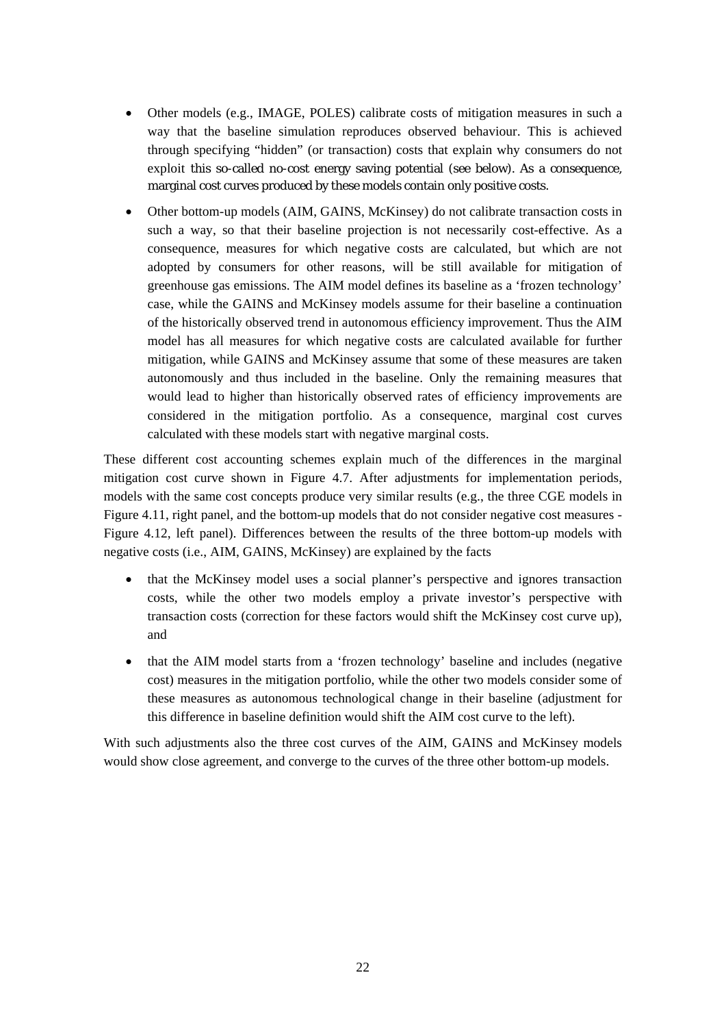- Other models (e.g., IMAGE, POLES) calibrate costs of mitigation measures in such a way that the baseline simulation reproduces observed behaviour. This is achieved through specifying "hidden" (or transaction) costs that explain why consumers do not exploit this so-called no-cost energy saving potential (see below). As a consequence, marginal cost curves produced by these models contain only positive costs.
- Other bottom-up models (AIM, GAINS, McKinsey) do not calibrate transaction costs in such a way, so that their baseline projection is not necessarily cost-effective. As a consequence, measures for which negative costs are calculated, but which are not adopted by consumers for other reasons, will be still available for mitigation of greenhouse gas emissions. The AIM model defines its baseline as a 'frozen technology' case, while the GAINS and McKinsey models assume for their baseline a continuation of the historically observed trend in autonomous efficiency improvement. Thus the AIM model has all measures for which negative costs are calculated available for further mitigation, while GAINS and McKinsey assume that some of these measures are taken autonomously and thus included in the baseline. Only the remaining measures that would lead to higher than historically observed rates of efficiency improvements are considered in the mitigation portfolio. As a consequence, marginal cost curves calculated with these models start with negative marginal costs.

These different cost accounting schemes explain much of the differences in the marginal mitigation cost curve shown in Figure 4.7. After adjustments for implementation periods, models with the same cost concepts produce very similar results (e.g., the three CGE models in Figure 4.11, right panel, and the bottom-up models that do not consider negative cost measures - Figure 4.12, left panel). Differences between the results of the three bottom-up models with negative costs (i.e., AIM, GAINS, McKinsey) are explained by the facts

- that the McKinsey model uses a social planner's perspective and ignores transaction costs, while the other two models employ a private investor's perspective with transaction costs (correction for these factors would shift the McKinsey cost curve up), and
- that the AIM model starts from a 'frozen technology' baseline and includes (negative cost) measures in the mitigation portfolio, while the other two models consider some of these measures as autonomous technological change in their baseline (adjustment for this difference in baseline definition would shift the AIM cost curve to the left).

With such adjustments also the three cost curves of the AIM, GAINS and McKinsey models would show close agreement, and converge to the curves of the three other bottom-up models.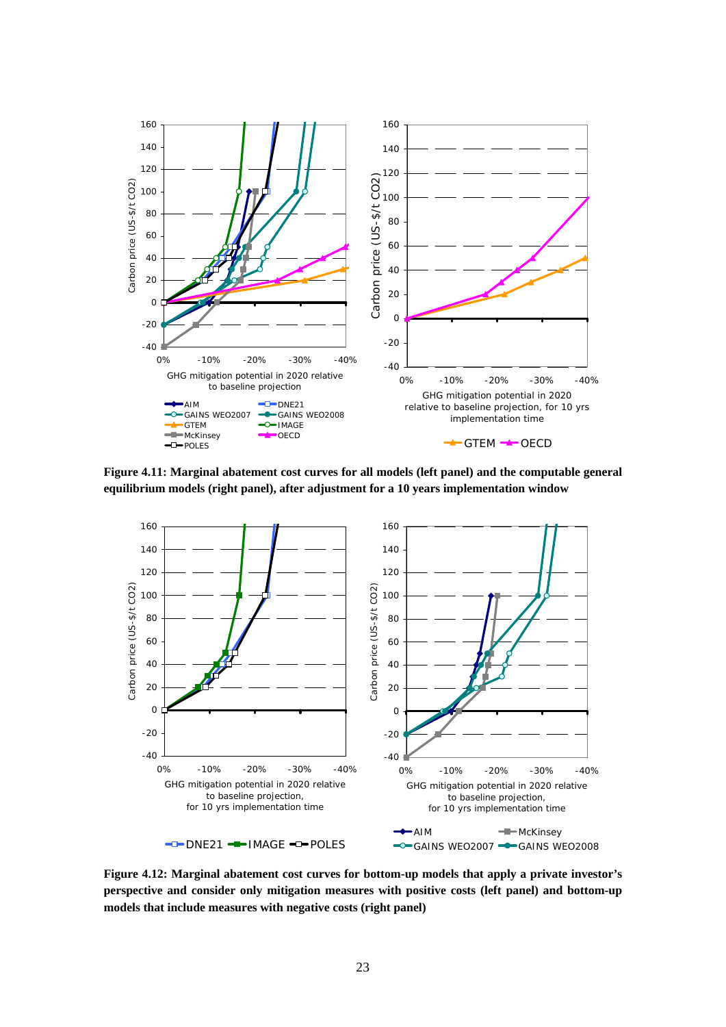

**Figure 4.11: Marginal abatement cost curves for all models (left panel) and the computable general equilibrium models (right panel), after adjustment for a 10 years implementation window** 



**Figure 4.12: Marginal abatement cost curves for bottom-up models that apply a private investor's perspective and consider only mitigation measures with positive costs (left panel) and bottom-up models that include measures with negative costs (right panel)**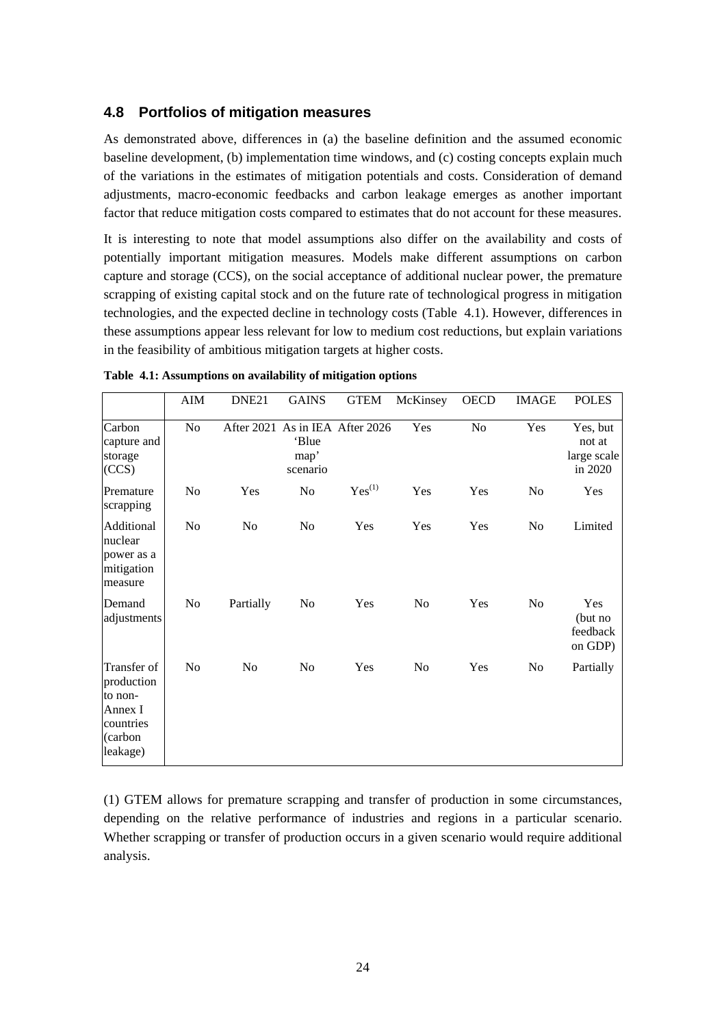#### **4.8 Portfolios of mitigation measures**

As demonstrated above, differences in (a) the baseline definition and the assumed economic baseline development, (b) implementation time windows, and (c) costing concepts explain much of the variations in the estimates of mitigation potentials and costs. Consideration of demand adjustments, macro-economic feedbacks and carbon leakage emerges as another important factor that reduce mitigation costs compared to estimates that do not account for these measures.

It is interesting to note that model assumptions also differ on the availability and costs of potentially important mitigation measures. Models make different assumptions on carbon capture and storage (CCS), on the social acceptance of additional nuclear power, the premature scrapping of existing capital stock and on the future rate of technological progress in mitigation technologies, and the expected decline in technology costs (Table 4.1). However, differences in these assumptions appear less relevant for low to medium cost reductions, but explain variations in the feasibility of ambitious mitigation targets at higher costs.

|                                                                                     | AIM            | DNE <sub>21</sub> | <b>GAINS</b>              | <b>GTEM</b>                     | McKinsey | <b>OECD</b>    | <b>IMAGE</b>   | <b>POLES</b>                                 |
|-------------------------------------------------------------------------------------|----------------|-------------------|---------------------------|---------------------------------|----------|----------------|----------------|----------------------------------------------|
| Carbon<br>capture and<br>storage<br>(CCS)                                           | No             |                   | 'Blue<br>map'<br>scenario | After 2021 As in IEA After 2026 | Yes      | N <sub>0</sub> | Yes            | Yes, but<br>not at<br>large scale<br>in 2020 |
| Premature<br>scrapping                                                              | N <sub>0</sub> | Yes               | No                        | $Yes^{(1)}$                     | Yes      | Yes            | N <sub>0</sub> | Yes                                          |
| Additional<br>nuclear<br>power as a<br>mitigation<br>measure                        | No             | No                | No                        | Yes                             | Yes      | Yes            | No             | Limited                                      |
| Demand<br>adjustments                                                               | No             | Partially         | No                        | Yes                             | No       | Yes            | No             | Yes<br>(but no<br>feedback<br>on GDP)        |
| Transfer of<br>production<br>to non-<br>Annex I<br>countries<br>(carbon<br>leakage) | No             | No                | No                        | Yes                             | No       | Yes            | No             | Partially                                    |

**Table 4.1: Assumptions on availability of mitigation options** 

(1) GTEM allows for premature scrapping and transfer of production in some circumstances, depending on the relative performance of industries and regions in a particular scenario. Whether scrapping or transfer of production occurs in a given scenario would require additional analysis.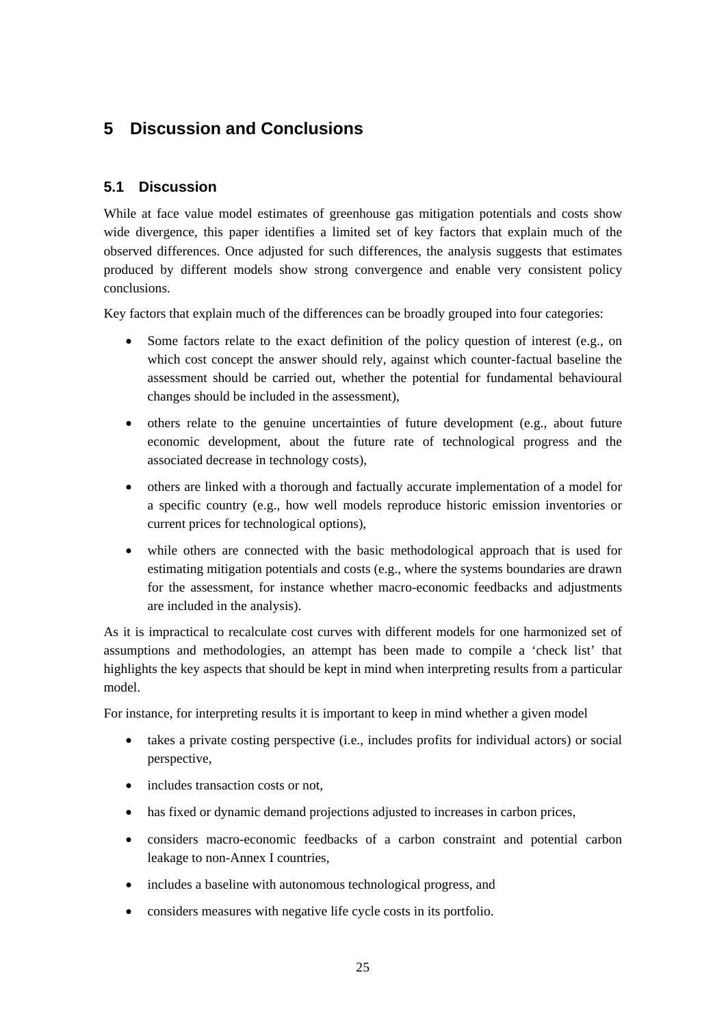# **5 Discussion and Conclusions**

## **5.1 Discussion**

While at face value model estimates of greenhouse gas mitigation potentials and costs show wide divergence, this paper identifies a limited set of key factors that explain much of the observed differences. Once adjusted for such differences, the analysis suggests that estimates produced by different models show strong convergence and enable very consistent policy conclusions.

Key factors that explain much of the differences can be broadly grouped into four categories:

- Some factors relate to the exact definition of the policy question of interest (e.g., on which cost concept the answer should rely, against which counter-factual baseline the assessment should be carried out, whether the potential for fundamental behavioural changes should be included in the assessment),
- others relate to the genuine uncertainties of future development (e.g., about future economic development, about the future rate of technological progress and the associated decrease in technology costs),
- others are linked with a thorough and factually accurate implementation of a model for a specific country (e.g., how well models reproduce historic emission inventories or current prices for technological options),
- while others are connected with the basic methodological approach that is used for estimating mitigation potentials and costs (e.g., where the systems boundaries are drawn for the assessment, for instance whether macro-economic feedbacks and adjustments are included in the analysis).

As it is impractical to recalculate cost curves with different models for one harmonized set of assumptions and methodologies, an attempt has been made to compile a 'check list' that highlights the key aspects that should be kept in mind when interpreting results from a particular model.

For instance, for interpreting results it is important to keep in mind whether a given model

- takes a private costing perspective (i.e., includes profits for individual actors) or social perspective,
- includes transaction costs or not.
- has fixed or dynamic demand projections adjusted to increases in carbon prices,
- considers macro-economic feedbacks of a carbon constraint and potential carbon leakage to non-Annex I countries,
- includes a baseline with autonomous technological progress, and
- considers measures with negative life cycle costs in its portfolio.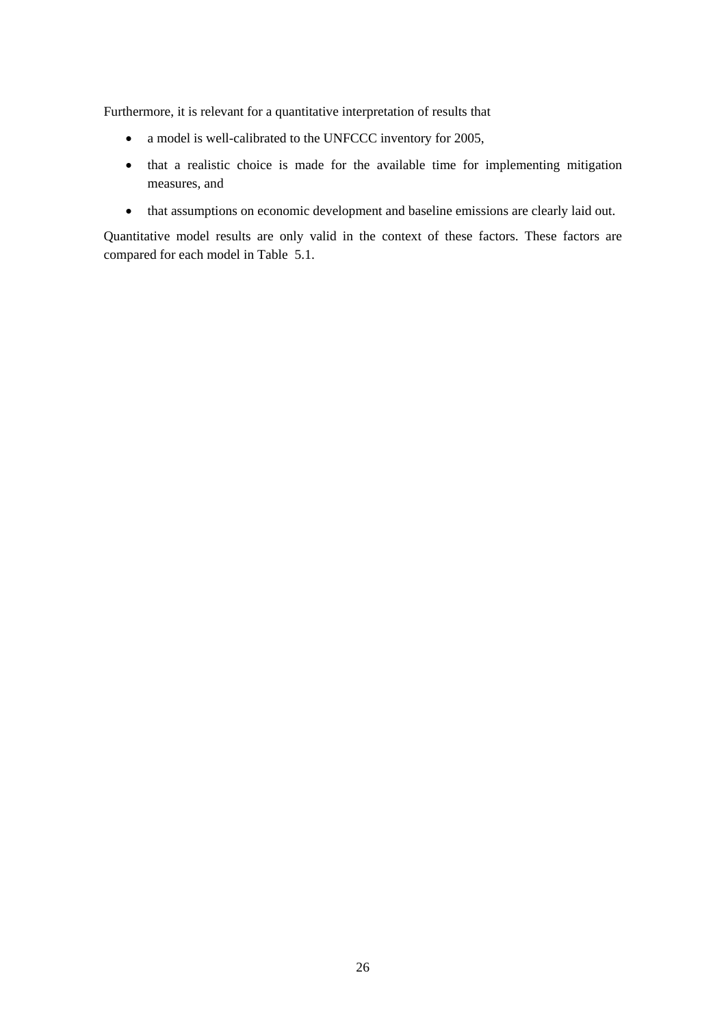Furthermore, it is relevant for a quantitative interpretation of results that

- a model is well-calibrated to the UNFCCC inventory for 2005,
- that a realistic choice is made for the available time for implementing mitigation measures, and
- that assumptions on economic development and baseline emissions are clearly laid out.

Quantitative model results are only valid in the context of these factors. These factors are compared for each model in Table 5.1.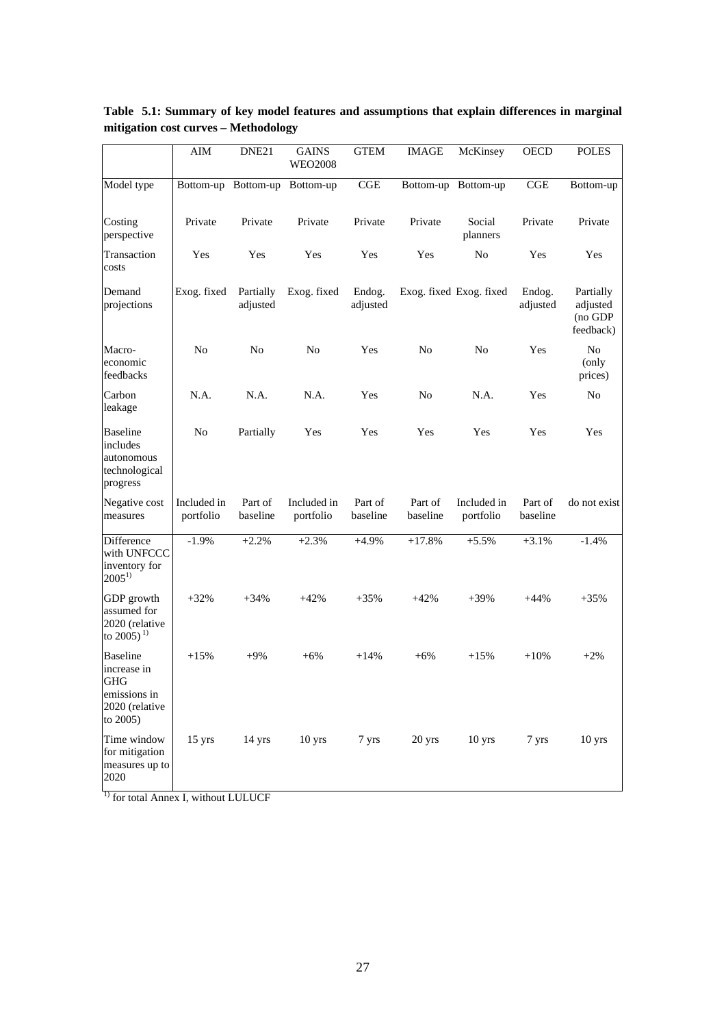|                                                                                            | AIM                      | DNE21                 | <b>GAINS</b><br><b>WEO2008</b> | <b>GTEM</b>         | <b>IMAGE</b>        | McKinsey                 | <b>OECD</b>         | <b>POLES</b>                                  |
|--------------------------------------------------------------------------------------------|--------------------------|-----------------------|--------------------------------|---------------------|---------------------|--------------------------|---------------------|-----------------------------------------------|
| Model type                                                                                 |                          |                       | Bottom-up Bottom-up Bottom-up  | CGE                 |                     | Bottom-up Bottom-up      | CGE                 | Bottom-up                                     |
| Costing<br>perspective                                                                     | Private                  | Private               | Private                        | Private             | Private             | Social<br>planners       | Private             | Private                                       |
| Transaction<br>costs                                                                       | Yes                      | Yes                   | Yes                            | Yes                 | Yes                 | No                       | Yes                 | Yes                                           |
| Demand<br>projections                                                                      | Exog. fixed              | Partially<br>adjusted | Exog. fixed                    | Endog.<br>adjusted  |                     | Exog. fixed Exog. fixed  | Endog.<br>adjusted  | Partially<br>adjusted<br>(no GDP<br>feedback) |
| Macro-<br>economic<br>feedbacks                                                            | No                       | No                    | No                             | Yes                 | No                  | No                       | Yes                 | N <sub>0</sub><br>(only<br>prices)            |
| Carbon<br>leakage                                                                          | N.A.                     | N.A.                  | N.A.                           | Yes                 | N <sub>o</sub>      | N.A.                     | Yes                 | N <sub>o</sub>                                |
| <b>Baseline</b><br>includes<br>autonomous<br>technological<br>progress                     | N <sub>o</sub>           | Partially             | Yes                            | Yes                 | Yes                 | Yes                      | Yes                 | Yes                                           |
| Negative cost<br>measures                                                                  | Included in<br>portfolio | Part of<br>baseline   | Included in<br>portfolio       | Part of<br>baseline | Part of<br>baseline | Included in<br>portfolio | Part of<br>baseline | do not exist                                  |
| Difference<br>with UNFCCC<br>inventory for<br>$2005^{1}$                                   | $-1.9%$                  | $+2.2%$               | $+2.3%$                        | $+4.9%$             | $+17.8%$            | $+5.5%$                  | $+3.1%$             | $-1.4%$                                       |
| GDP growth<br>assumed for<br>2020 (relative<br>to 2005) <sup>1)</sup>                      | $+32%$                   | $+34%$                | $+42%$                         | $+35%$              | $+42%$              | $+39%$                   | $+44%$              | $+35%$                                        |
| <b>Baseline</b><br>increase in<br><b>GHG</b><br>emissions in<br>2020 (relative<br>to 2005) | $+15%$                   | $+9%$                 | $+6%$                          | $+14%$              | $+6%$               | $+15%$                   | $+10%$              | $+2\%$                                        |
| Time window<br>for mitigation<br>measures up to<br>2020                                    | $15 \text{ yrs}$         | 14 yrs                | 10 <sub>yrs</sub>              | 7 yrs               | 20 yrs              | $10 \text{ yrs}$         | 7 yrs               | 10 yrs                                        |

**Table 5.1: Summary of key model features and assumptions that explain differences in marginal mitigation cost curves – Methodology** 

 $\frac{1}{1}$  for total Annex I, without LULUCF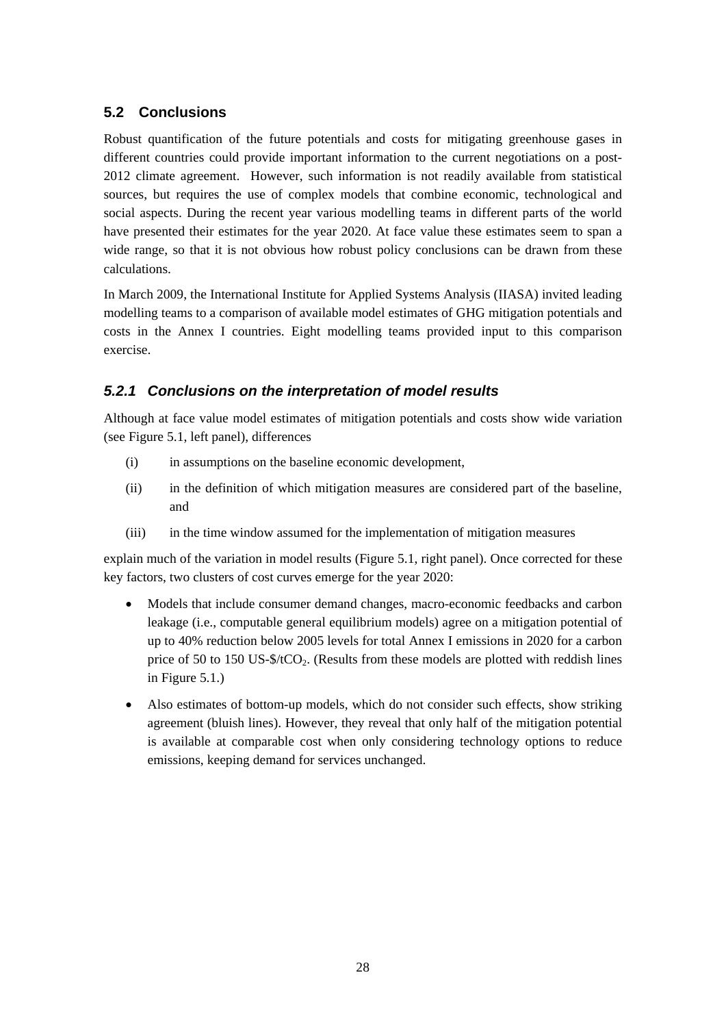# **5.2 Conclusions**

Robust quantification of the future potentials and costs for mitigating greenhouse gases in different countries could provide important information to the current negotiations on a post-2012 climate agreement. However, such information is not readily available from statistical sources, but requires the use of complex models that combine economic, technological and social aspects. During the recent year various modelling teams in different parts of the world have presented their estimates for the year 2020. At face value these estimates seem to span a wide range, so that it is not obvious how robust policy conclusions can be drawn from these calculations.

In March 2009, the International Institute for Applied Systems Analysis (IIASA) invited leading modelling teams to a comparison of available model estimates of GHG mitigation potentials and costs in the Annex I countries. Eight modelling teams provided input to this comparison exercise.

## *5.2.1 Conclusions on the interpretation of model results*

Although at face value model estimates of mitigation potentials and costs show wide variation (see Figure 5.1, left panel), differences

- (i) in assumptions on the baseline economic development,
- (ii) in the definition of which mitigation measures are considered part of the baseline, and
- (iii) in the time window assumed for the implementation of mitigation measures

explain much of the variation in model results (Figure 5.1, right panel). Once corrected for these key factors, two clusters of cost curves emerge for the year 2020:

- Models that include consumer demand changes, macro-economic feedbacks and carbon leakage (i.e., computable general equilibrium models) agree on a mitigation potential of up to 40% reduction below 2005 levels for total Annex I emissions in 2020 for a carbon price of 50 to 150 US- $\frac{6}{2}$ . (Results from these models are plotted with reddish lines in Figure 5.1.)
- Also estimates of bottom-up models, which do not consider such effects, show striking agreement (bluish lines). However, they reveal that only half of the mitigation potential is available at comparable cost when only considering technology options to reduce emissions, keeping demand for services unchanged.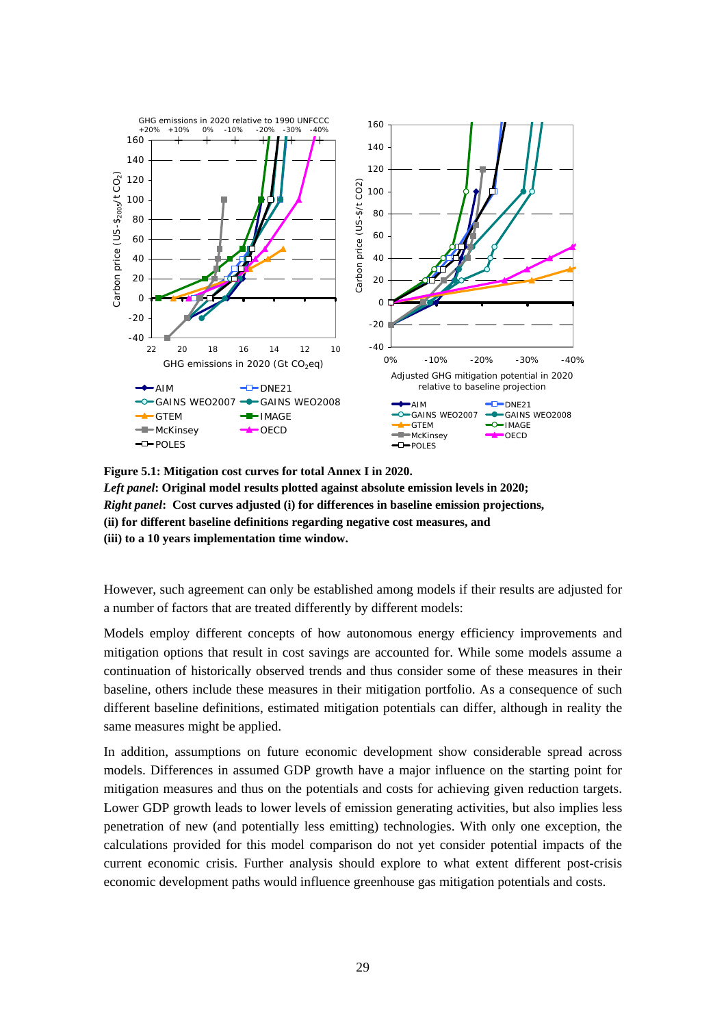

**Figure 5.1: Mitigation cost curves for total Annex I in 2020.**  *Left panel***: Original model results plotted against absolute emission levels in 2020;**  *Right panel***: Cost curves adjusted (i) for differences in baseline emission projections, (ii) for different baseline definitions regarding negative cost measures, and (iii) to a 10 years implementation time window.** 

However, such agreement can only be established among models if their results are adjusted for a number of factors that are treated differently by different models:

Models employ different concepts of how autonomous energy efficiency improvements and mitigation options that result in cost savings are accounted for. While some models assume a continuation of historically observed trends and thus consider some of these measures in their baseline, others include these measures in their mitigation portfolio. As a consequence of such different baseline definitions, estimated mitigation potentials can differ, although in reality the same measures might be applied.

In addition, assumptions on future economic development show considerable spread across models. Differences in assumed GDP growth have a major influence on the starting point for mitigation measures and thus on the potentials and costs for achieving given reduction targets. Lower GDP growth leads to lower levels of emission generating activities, but also implies less penetration of new (and potentially less emitting) technologies. With only one exception, the calculations provided for this model comparison do not yet consider potential impacts of the current economic crisis. Further analysis should explore to what extent different post-crisis economic development paths would influence greenhouse gas mitigation potentials and costs.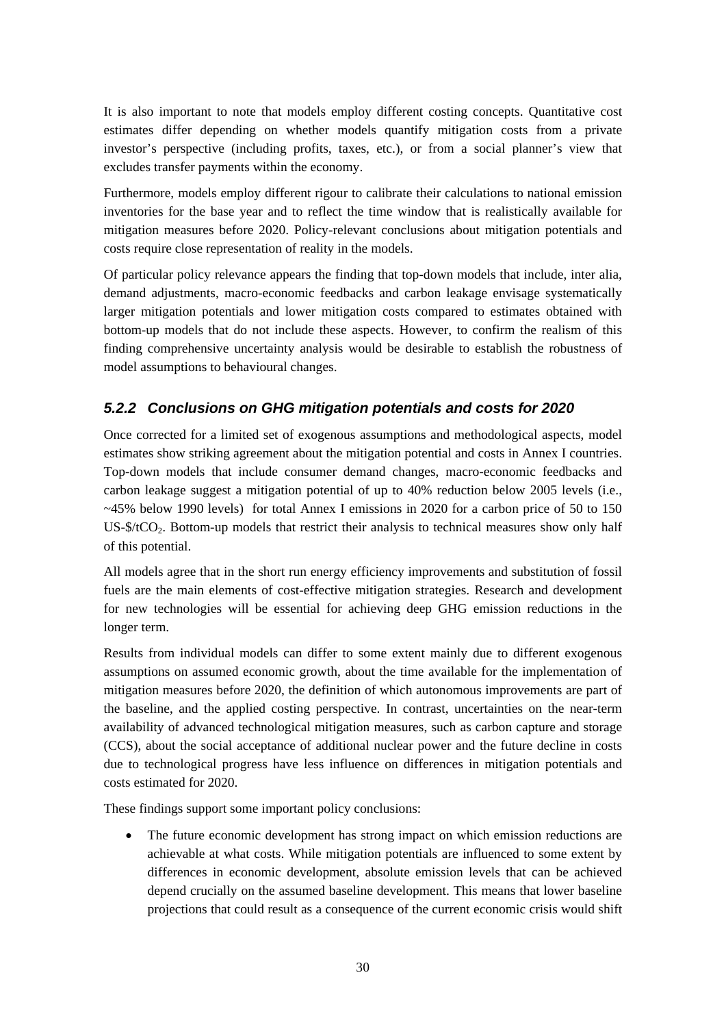It is also important to note that models employ different costing concepts. Quantitative cost estimates differ depending on whether models quantify mitigation costs from a private investor's perspective (including profits, taxes, etc.), or from a social planner's view that excludes transfer payments within the economy.

Furthermore, models employ different rigour to calibrate their calculations to national emission inventories for the base year and to reflect the time window that is realistically available for mitigation measures before 2020. Policy-relevant conclusions about mitigation potentials and costs require close representation of reality in the models.

Of particular policy relevance appears the finding that top-down models that include, inter alia, demand adjustments, macro-economic feedbacks and carbon leakage envisage systematically larger mitigation potentials and lower mitigation costs compared to estimates obtained with bottom-up models that do not include these aspects. However, to confirm the realism of this finding comprehensive uncertainty analysis would be desirable to establish the robustness of model assumptions to behavioural changes.

# *5.2.2 Conclusions on GHG mitigation potentials and costs for 2020*

Once corrected for a limited set of exogenous assumptions and methodological aspects, model estimates show striking agreement about the mitigation potential and costs in Annex I countries. Top-down models that include consumer demand changes, macro-economic feedbacks and carbon leakage suggest a mitigation potential of up to 40% reduction below 2005 levels (i.e., ~45% below 1990 levels) for total Annex I emissions in 2020 for a carbon price of 50 to 150 US-\$/tCO<sub>2</sub>. Bottom-up models that restrict their analysis to technical measures show only half of this potential.

All models agree that in the short run energy efficiency improvements and substitution of fossil fuels are the main elements of cost-effective mitigation strategies. Research and development for new technologies will be essential for achieving deep GHG emission reductions in the longer term.

Results from individual models can differ to some extent mainly due to different exogenous assumptions on assumed economic growth, about the time available for the implementation of mitigation measures before 2020, the definition of which autonomous improvements are part of the baseline, and the applied costing perspective. In contrast, uncertainties on the near-term availability of advanced technological mitigation measures, such as carbon capture and storage (CCS), about the social acceptance of additional nuclear power and the future decline in costs due to technological progress have less influence on differences in mitigation potentials and costs estimated for 2020.

These findings support some important policy conclusions:

• The future economic development has strong impact on which emission reductions are achievable at what costs. While mitigation potentials are influenced to some extent by differences in economic development, absolute emission levels that can be achieved depend crucially on the assumed baseline development. This means that lower baseline projections that could result as a consequence of the current economic crisis would shift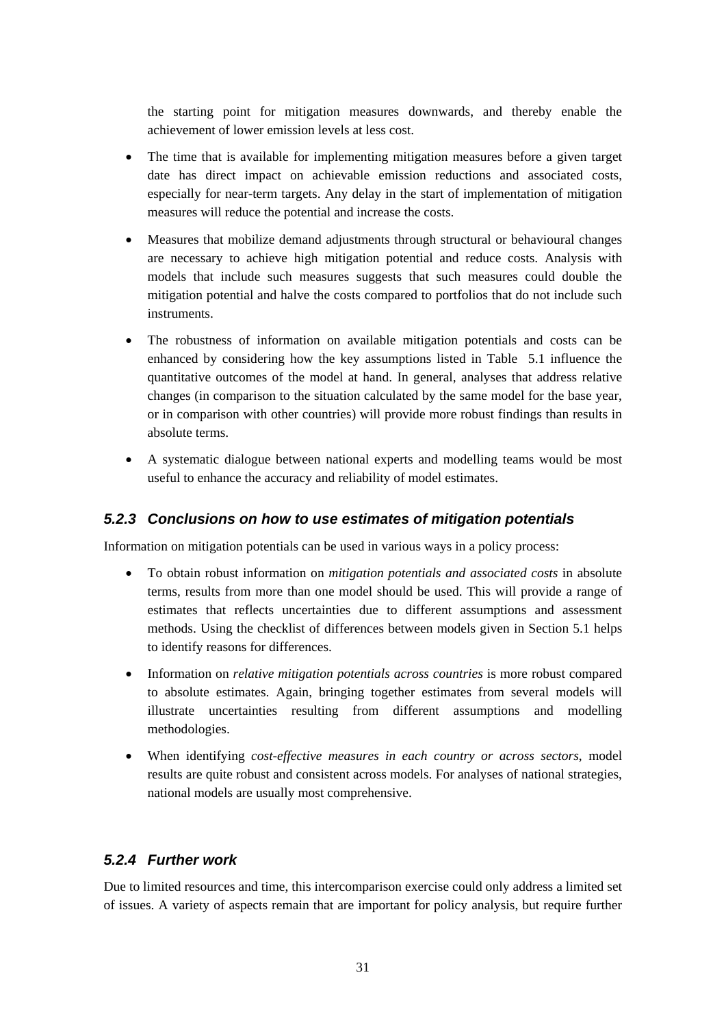the starting point for mitigation measures downwards, and thereby enable the achievement of lower emission levels at less cost.

- The time that is available for implementing mitigation measures before a given target date has direct impact on achievable emission reductions and associated costs, especially for near-term targets. Any delay in the start of implementation of mitigation measures will reduce the potential and increase the costs.
- Measures that mobilize demand adjustments through structural or behavioural changes are necessary to achieve high mitigation potential and reduce costs. Analysis with models that include such measures suggests that such measures could double the mitigation potential and halve the costs compared to portfolios that do not include such instruments.
- The robustness of information on available mitigation potentials and costs can be enhanced by considering how the key assumptions listed in Table 5.1 influence the quantitative outcomes of the model at hand. In general, analyses that address relative changes (in comparison to the situation calculated by the same model for the base year, or in comparison with other countries) will provide more robust findings than results in absolute terms.
- A systematic dialogue between national experts and modelling teams would be most useful to enhance the accuracy and reliability of model estimates.

### *5.2.3 Conclusions on how to use estimates of mitigation potentials*

Information on mitigation potentials can be used in various ways in a policy process:

- To obtain robust information on *mitigation potentials and associated costs* in absolute terms, results from more than one model should be used. This will provide a range of estimates that reflects uncertainties due to different assumptions and assessment methods. Using the checklist of differences between models given in Section 5.1 helps to identify reasons for differences.
- Information on *relative mitigation potentials across countries* is more robust compared to absolute estimates. Again, bringing together estimates from several models will illustrate uncertainties resulting from different assumptions and modelling methodologies.
- When identifying *cost-effective measures in each country or across sectors*, model results are quite robust and consistent across models. For analyses of national strategies, national models are usually most comprehensive.

#### *5.2.4 Further work*

Due to limited resources and time, this intercomparison exercise could only address a limited set of issues. A variety of aspects remain that are important for policy analysis, but require further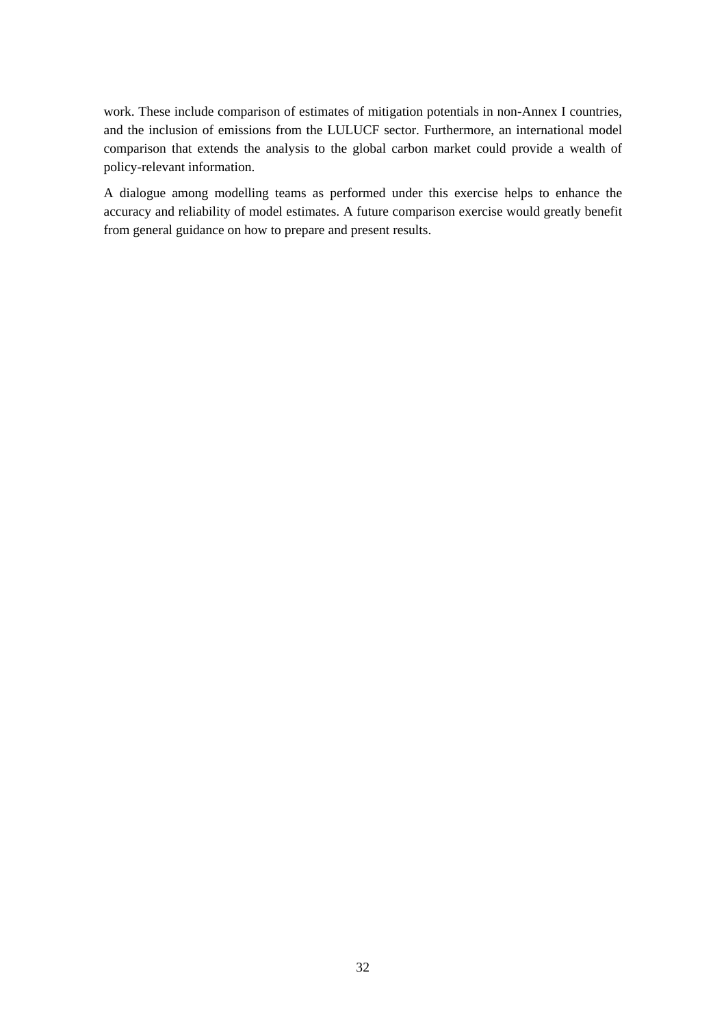work. These include comparison of estimates of mitigation potentials in non-Annex I countries, and the inclusion of emissions from the LULUCF sector. Furthermore, an international model comparison that extends the analysis to the global carbon market could provide a wealth of policy-relevant information.

A dialogue among modelling teams as performed under this exercise helps to enhance the accuracy and reliability of model estimates. A future comparison exercise would greatly benefit from general guidance on how to prepare and present results.